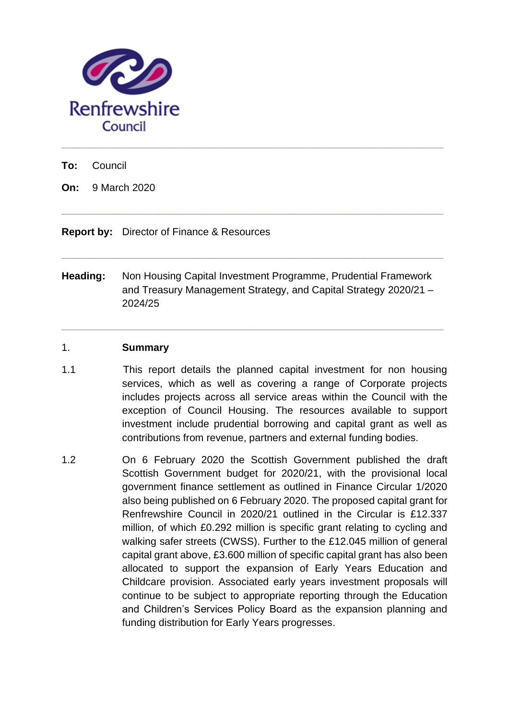

**To:** Council

**On:** 9 March 2020

**Report by:** Director of Finance & Resources

**Heading:** Non Housing Capital Investment Programme, Prudential Framework and Treasury Management Strategy, and Capital Strategy 2020/21 – 2024/25

**\_\_\_\_\_\_\_\_\_\_\_\_\_\_\_\_\_\_\_\_\_\_\_\_\_\_\_\_\_\_\_\_\_\_\_\_\_\_\_\_\_\_\_\_\_\_\_\_\_\_\_\_\_\_\_\_\_\_\_\_\_\_\_\_\_\_\_**

**\_\_\_\_\_\_\_\_\_\_\_\_\_\_\_\_\_\_\_\_\_\_\_\_\_\_\_\_\_\_\_\_\_\_\_\_\_\_\_\_\_\_\_\_\_\_\_\_\_\_\_\_\_\_\_\_\_\_\_\_\_\_\_\_\_\_\_**

**\_\_\_\_\_\_\_\_\_\_\_\_\_\_\_\_\_\_\_\_\_\_\_\_\_\_\_\_\_\_\_\_\_\_\_\_\_\_\_\_\_\_\_\_\_\_\_\_\_\_\_\_\_\_\_\_\_\_\_\_\_\_\_\_\_\_\_**

**\_\_\_\_\_\_\_\_\_\_\_\_\_\_\_\_\_\_\_\_\_\_\_\_\_\_\_\_\_\_\_\_\_\_\_\_\_\_\_\_\_\_\_\_\_\_\_\_\_\_\_\_\_\_\_\_\_\_\_\_\_\_\_\_\_\_\_**

#### 1. **Summary**

- 1.1 This report details the planned capital investment for non housing services, which as well as covering a range of Corporate projects includes projects across all service areas within the Council with the exception of Council Housing. The resources available to support investment include prudential borrowing and capital grant as well as contributions from revenue, partners and external funding bodies.
- 1.2 On 6 February 2020 the Scottish Government published the draft Scottish Government budget for 2020/21, with the provisional local government finance settlement as outlined in Finance Circular 1/2020 also being published on 6 February 2020. The proposed capital grant for Renfrewshire Council in 2020/21 outlined in the Circular is £12.337 million, of which £0.292 million is specific grant relating to cycling and walking safer streets (CWSS). Further to the £12.045 million of general capital grant above, £3.600 million of specific capital grant has also been allocated to support the expansion of Early Years Education and Childcare provision. Associated early years investment proposals will continue to be subject to appropriate reporting through the Education and Children's Services Policy Board as the expansion planning and funding distribution for Early Years progresses.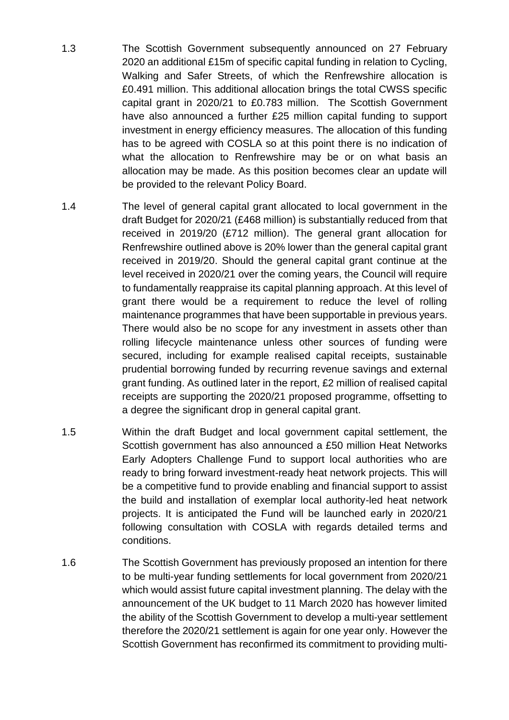- 1.3 The Scottish Government subsequently announced on 27 February 2020 an additional £15m of specific capital funding in relation to Cycling, Walking and Safer Streets, of which the Renfrewshire allocation is £0.491 million. This additional allocation brings the total CWSS specific capital grant in 2020/21 to £0.783 million. The Scottish Government have also announced a further £25 million capital funding to support investment in energy efficiency measures. The allocation of this funding has to be agreed with COSLA so at this point there is no indication of what the allocation to Renfrewshire may be or on what basis an allocation may be made. As this position becomes clear an update will be provided to the relevant Policy Board.
- 1.4 The level of general capital grant allocated to local government in the draft Budget for 2020/21 (£468 million) is substantially reduced from that received in 2019/20 (£712 million). The general grant allocation for Renfrewshire outlined above is 20% lower than the general capital grant received in 2019/20. Should the general capital grant continue at the level received in 2020/21 over the coming years, the Council will require to fundamentally reappraise its capital planning approach. At this level of grant there would be a requirement to reduce the level of rolling maintenance programmes that have been supportable in previous years. There would also be no scope for any investment in assets other than rolling lifecycle maintenance unless other sources of funding were secured, including for example realised capital receipts, sustainable prudential borrowing funded by recurring revenue savings and external grant funding. As outlined later in the report, £2 million of realised capital receipts are supporting the 2020/21 proposed programme, offsetting to a degree the significant drop in general capital grant.
- 1.5 Within the draft Budget and local government capital settlement, the Scottish government has also announced a £50 million Heat Networks Early Adopters Challenge Fund to support local authorities who are ready to bring forward investment-ready heat network projects. This will be a competitive fund to provide enabling and financial support to assist the build and installation of exemplar local authority-led heat network projects. It is anticipated the Fund will be launched early in 2020/21 following consultation with COSLA with regards detailed terms and conditions.
- 1.6 The Scottish Government has previously proposed an intention for there to be multi-year funding settlements for local government from 2020/21 which would assist future capital investment planning. The delay with the announcement of the UK budget to 11 March 2020 has however limited the ability of the Scottish Government to develop a multi-year settlement therefore the 2020/21 settlement is again for one year only. However the Scottish Government has reconfirmed its commitment to providing multi-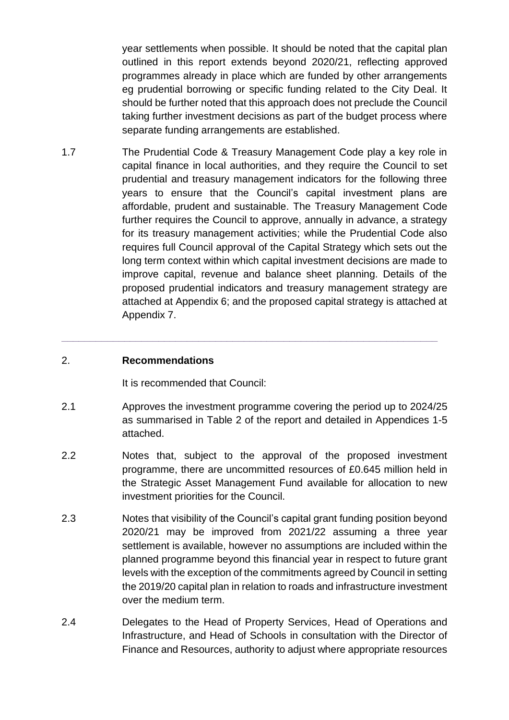year settlements when possible. It should be noted that the capital plan outlined in this report extends beyond 2020/21, reflecting approved programmes already in place which are funded by other arrangements eg prudential borrowing or specific funding related to the City Deal. It should be further noted that this approach does not preclude the Council taking further investment decisions as part of the budget process where separate funding arrangements are established.

1.7 The Prudential Code & Treasury Management Code play a key role in capital finance in local authorities, and they require the Council to set prudential and treasury management indicators for the following three years to ensure that the Council's capital investment plans are affordable, prudent and sustainable. The Treasury Management Code further requires the Council to approve, annually in advance, a strategy for its treasury management activities; while the Prudential Code also requires full Council approval of the Capital Strategy which sets out the long term context within which capital investment decisions are made to improve capital, revenue and balance sheet planning. Details of the proposed prudential indicators and treasury management strategy are attached at Appendix 6; and the proposed capital strategy is attached at Appendix 7.

### 2. **Recommendations**

It is recommended that Council:

2.1 Approves the investment programme covering the period up to 2024/25 as summarised in Table 2 of the report and detailed in Appendices 1-5 attached.

**\_\_\_\_\_\_\_\_\_\_\_\_\_\_\_\_\_\_\_\_\_\_\_\_\_\_\_\_\_\_\_\_\_\_\_\_\_\_\_\_\_\_\_\_\_\_\_\_\_\_\_\_\_\_\_\_\_\_\_\_\_\_\_\_\_\_**

- 2.2 Notes that, subject to the approval of the proposed investment programme, there are uncommitted resources of £0.645 million held in the Strategic Asset Management Fund available for allocation to new investment priorities for the Council.
- 2.3 Notes that visibility of the Council's capital grant funding position beyond 2020/21 may be improved from 2021/22 assuming a three year settlement is available, however no assumptions are included within the planned programme beyond this financial year in respect to future grant levels with the exception of the commitments agreed by Council in setting the 2019/20 capital plan in relation to roads and infrastructure investment over the medium term.
- 2.4 Delegates to the Head of Property Services, Head of Operations and Infrastructure, and Head of Schools in consultation with the Director of Finance and Resources, authority to adjust where appropriate resources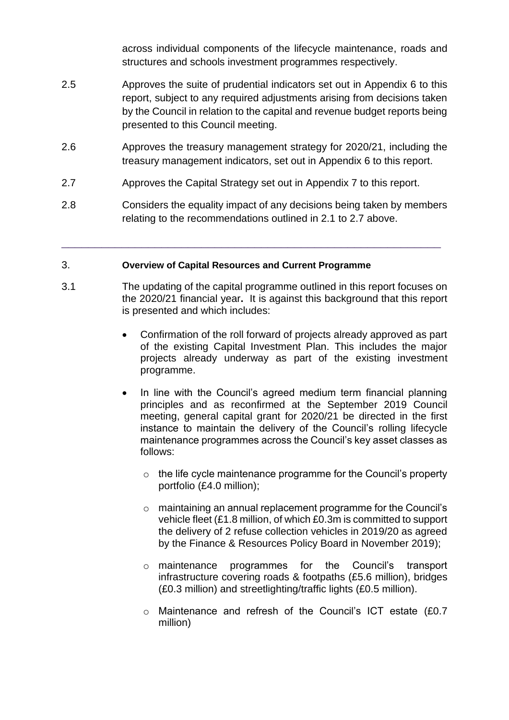across individual components of the lifecycle maintenance, roads and structures and schools investment programmes respectively.

- 2.5 Approves the suite of prudential indicators set out in Appendix 6 to this report, subject to any required adjustments arising from decisions taken by the Council in relation to the capital and revenue budget reports being presented to this Council meeting.
- 2.6 Approves the treasury management strategy for 2020/21, including the treasury management indicators, set out in Appendix 6 to this report.
- 2.7 Approves the Capital Strategy set out in Appendix 7 to this report.
- 2.8 Considers the equality impact of any decisions being taken by members relating to the recommendations outlined in 2.1 to 2.7 above.

\_\_\_\_\_\_\_\_\_\_\_\_\_\_\_\_\_\_\_\_\_\_\_\_\_\_\_\_\_\_\_\_\_\_\_\_\_\_\_\_\_\_\_\_\_\_\_\_\_\_\_\_\_\_\_\_\_

### 3. **Overview of Capital Resources and Current Programme**

- 3.1 The updating of the capital programme outlined in this report focuses on the 2020/21 financial year**.** It is against this background that this report is presented and which includes:
	- Confirmation of the roll forward of projects already approved as part of the existing Capital Investment Plan. This includes the major projects already underway as part of the existing investment programme.
	- In line with the Council's agreed medium term financial planning principles and as reconfirmed at the September 2019 Council meeting, general capital grant for 2020/21 be directed in the first instance to maintain the delivery of the Council's rolling lifecycle maintenance programmes across the Council's key asset classes as follows:
		- o the life cycle maintenance programme for the Council's property portfolio (£4.0 million);
		- o maintaining an annual replacement programme for the Council's vehicle fleet (£1.8 million, of which £0.3m is committed to support the delivery of 2 refuse collection vehicles in 2019/20 as agreed by the Finance & Resources Policy Board in November 2019);
		- o maintenance programmes for the Council's transport infrastructure covering roads & footpaths (£5.6 million), bridges (£0.3 million) and streetlighting/traffic lights (£0.5 million).
		- o Maintenance and refresh of the Council's ICT estate (£0.7 million)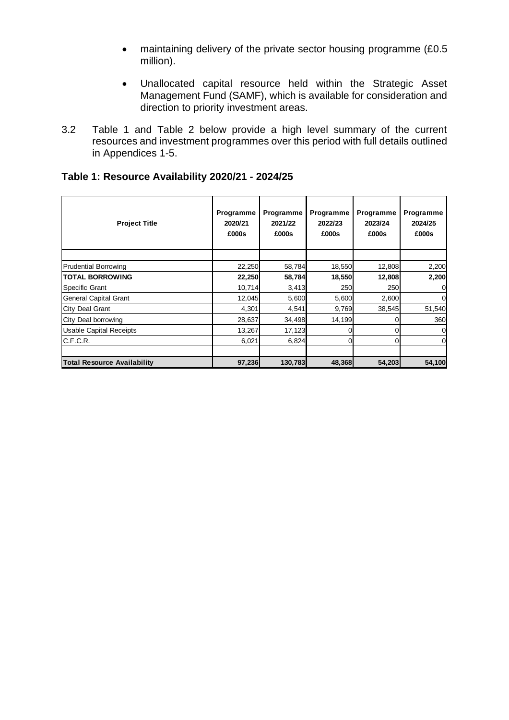- maintaining delivery of the private sector housing programme (£0.5) million).
- Unallocated capital resource held within the Strategic Asset Management Fund (SAMF), which is available for consideration and direction to priority investment areas.
- 3.2 Table 1 and Table 2 below provide a high level summary of the current resources and investment programmes over this period with full details outlined in Appendices 1-5.

| Table 1: Resource Availability 2020/21 - 2024/25 |  |
|--------------------------------------------------|--|
|--------------------------------------------------|--|

| <b>Project Title</b>               | Programme<br>2020/21<br>£000s | Programme<br>2021/22<br>£000s | Programme<br>2022/23<br>£000s | Programme<br>2023/24<br>£000s | Programme<br>2024/25<br>£000s |
|------------------------------------|-------------------------------|-------------------------------|-------------------------------|-------------------------------|-------------------------------|
|                                    |                               |                               |                               |                               |                               |
| <b>Prudential Borrowing</b>        | 22,250                        | 58,784                        | 18,550                        | 12,808                        | 2,200                         |
| <b>TOTAL BORROWING</b>             | 22,250                        | 58,784                        | 18,550                        | 12,808                        | 2,200                         |
| Specific Grant                     | 10,714                        | 3,413                         | 250                           | 250                           | $\Omega$                      |
| General Capital Grant              | 12,045                        | 5,600                         | 5,600                         | 2,600                         | $\overline{0}$                |
| City Deal Grant                    | 4,301                         | 4,541                         | 9,769                         | 38,545                        | 51,540                        |
| City Deal borrowing                | 28,637                        | 34,498                        | 14,199                        |                               | 360                           |
| <b>Usable Capital Receipts</b>     | 13,267                        | 17,123                        | 0                             |                               | $\overline{0}$                |
| C.F.C.R.                           | 6,021                         | 6,824                         | 0l                            |                               | $\overline{0}$                |
|                                    |                               |                               |                               |                               |                               |
| <b>Total Resource Availability</b> | 97,236                        | 130,783                       | 48,368                        | 54,203                        | 54,100                        |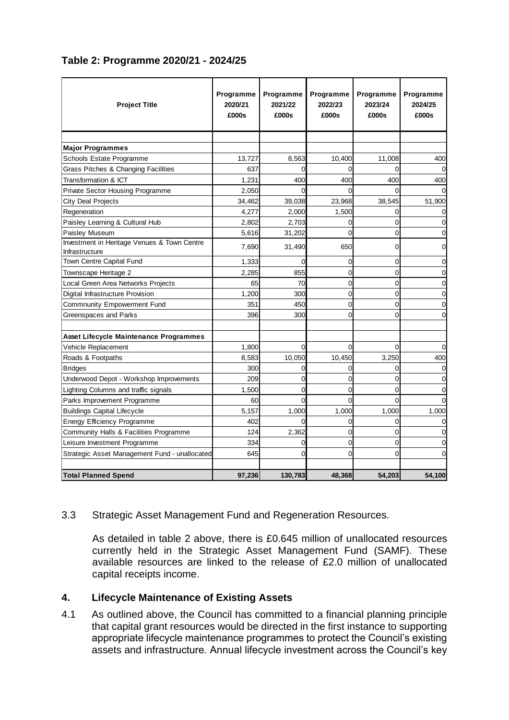### **Table 2: Programme 2020/21 - 2024/25**

| <b>Project Title</b>                                          | Programme<br>2020/21<br>£000s | Programme<br>2021/22<br>£000s | Programme<br>2022/23<br>£000s | Programme<br>2023/24<br>£000s | Programme<br>2024/25<br>£000s |
|---------------------------------------------------------------|-------------------------------|-------------------------------|-------------------------------|-------------------------------|-------------------------------|
|                                                               |                               |                               |                               |                               |                               |
| <b>Major Programmes</b>                                       |                               |                               |                               |                               |                               |
| Schools Estate Programme                                      | 13,727                        | 8,563                         | 10,400                        | 11,008                        | 400                           |
| Grass Pitches & Changing Facilities                           | 637                           | 0                             | $\Omega$                      |                               | 0                             |
| Transformation & ICT                                          | 1,231                         | 400                           | 400                           | 400                           | 400                           |
| Private Sector Housing Programme                              | 2,050                         |                               |                               |                               |                               |
| <b>City Deal Projects</b>                                     | 34,462                        | 39,038                        | 23,968                        | 38,545                        | 51,900                        |
| Regeneration                                                  | 4,277                         | 2,000                         | 1,500                         |                               |                               |
| Paisley Learning & Cultural Hub                               | 2,802                         | 2.703                         | $\Omega$                      | 0                             | $\Omega$                      |
| Paisley Museum                                                | 5,616                         | 31,202                        | $\Omega$                      | $\Omega$                      | 0                             |
| Investment in Heritage Venues & Town Centre<br>Infrastructure | 7,690                         | 31,490                        | 650                           | 0                             | 0                             |
| Town Centre Capital Fund                                      | 1,333                         | $\Omega$                      | $\mathbf 0$                   | $\Omega$                      | $\mathbf 0$                   |
| Townscape Heritage 2                                          | 2,285                         | 855                           | $\mathbf 0$                   | $\Omega$                      | $\mathbf 0$                   |
| Local Green Area Networks Projects                            | 65                            | 70                            | $\Omega$                      | $\Omega$                      | $\Omega$                      |
| Digital Infrastructure Provision                              | 1,200                         | 300                           | $\mathbf 0$                   | $\Omega$                      | $\Omega$                      |
| Commnunity Empowerment Fund                                   | 351                           | 450                           | $\mathbf 0$                   | 0                             | 0                             |
| Greenspaces and Parks                                         | 396                           | 300                           | $\mathbf 0$                   | 0                             | 0                             |
| Asset Lifecycle Maintenance Programmes                        |                               |                               |                               |                               |                               |
| Vehicle Replacement                                           | 1,800                         | $\Omega$                      | $\Omega$                      | 0                             | $\Omega$                      |
| Roads & Footpaths                                             | 8,583                         | 10,050                        | 10,450                        | 3,250                         | 400                           |
| <b>Bridges</b>                                                | 300                           | 0                             | 0                             | 0                             | 0                             |
| Underwood Depot - Workshop Improvements                       | 209                           | 0                             | 0                             | 0                             | 0                             |
| Lighting Columns and traffic signals                          | 1,500                         | $\overline{0}$                | $\mathbf 0$                   | $\Omega$                      | $\Omega$                      |
| Parks Improvement Programme                                   | 60                            | $\Omega$                      | $\Omega$                      | $\Omega$                      | $\Omega$                      |
| <b>Buildings Capital Lifecycle</b>                            | 5,157                         | 1,000                         | 1,000                         | 1,000                         | 1,000                         |
| Energy Efficiency Programme                                   | 402                           | 0                             | $\mathbf 0$                   | 0                             | $\mathbf 0$                   |
| Community Halls & Facilities Programme                        | 124                           | 2.362                         | $\mathbf 0$                   | 0                             | 0                             |
| Leisure Investment Programme                                  | 334                           | $\Omega$                      | $\mathbf 0$                   | 0                             | $\mathbf 0$                   |
| Strategic Asset Management Fund - unallocated                 | 645                           | 0                             | $\Omega$                      | 0                             | $\mathbf 0$                   |
|                                                               |                               |                               |                               |                               |                               |
| <b>Total Planned Spend</b>                                    | 97,236                        | 130,783                       | 48,368                        | 54,203                        | 54,100                        |

### 3.3 Strategic Asset Management Fund and Regeneration Resources.

As detailed in table 2 above, there is £0.645 million of unallocated resources currently held in the Strategic Asset Management Fund (SAMF). These available resources are linked to the release of £2.0 million of unallocated capital receipts income.

### **4. Lifecycle Maintenance of Existing Assets**

4.1 As outlined above, the Council has committed to a financial planning principle that capital grant resources would be directed in the first instance to supporting appropriate lifecycle maintenance programmes to protect the Council's existing assets and infrastructure. Annual lifecycle investment across the Council's key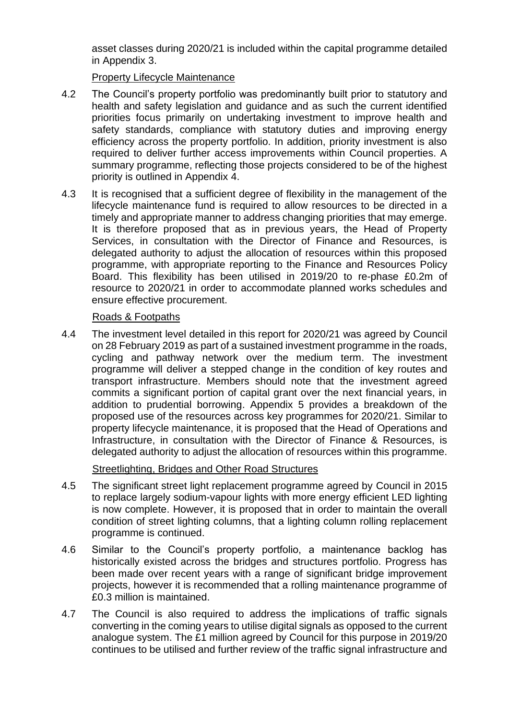asset classes during 2020/21 is included within the capital programme detailed in Appendix 3.

Property Lifecycle Maintenance

- 4.2 The Council's property portfolio was predominantly built prior to statutory and health and safety legislation and guidance and as such the current identified priorities focus primarily on undertaking investment to improve health and safety standards, compliance with statutory duties and improving energy efficiency across the property portfolio. In addition, priority investment is also required to deliver further access improvements within Council properties. A summary programme, reflecting those projects considered to be of the highest priority is outlined in Appendix 4.
- 4.3 It is recognised that a sufficient degree of flexibility in the management of the lifecycle maintenance fund is required to allow resources to be directed in a timely and appropriate manner to address changing priorities that may emerge. It is therefore proposed that as in previous years, the Head of Property Services, in consultation with the Director of Finance and Resources, is delegated authority to adjust the allocation of resources within this proposed programme, with appropriate reporting to the Finance and Resources Policy Board. This flexibility has been utilised in 2019/20 to re-phase £0.2m of resource to 2020/21 in order to accommodate planned works schedules and ensure effective procurement.

### Roads & Footpaths

4.4 The investment level detailed in this report for 2020/21 was agreed by Council on 28 February 2019 as part of a sustained investment programme in the roads, cycling and pathway network over the medium term. The investment programme will deliver a stepped change in the condition of key routes and transport infrastructure. Members should note that the investment agreed commits a significant portion of capital grant over the next financial years, in addition to prudential borrowing. Appendix 5 provides a breakdown of the proposed use of the resources across key programmes for 2020/21. Similar to property lifecycle maintenance, it is proposed that the Head of Operations and Infrastructure, in consultation with the Director of Finance & Resources, is delegated authority to adjust the allocation of resources within this programme.

### Streetlighting, Bridges and Other Road Structures

- 4.5 The significant street light replacement programme agreed by Council in 2015 to replace largely sodium-vapour lights with more energy efficient LED lighting is now complete. However, it is proposed that in order to maintain the overall condition of street lighting columns, that a lighting column rolling replacement programme is continued.
- 4.6 Similar to the Council's property portfolio, a maintenance backlog has historically existed across the bridges and structures portfolio. Progress has been made over recent years with a range of significant bridge improvement projects, however it is recommended that a rolling maintenance programme of £0.3 million is maintained.
- 4.7 The Council is also required to address the implications of traffic signals converting in the coming years to utilise digital signals as opposed to the current analogue system. The £1 million agreed by Council for this purpose in 2019/20 continues to be utilised and further review of the traffic signal infrastructure and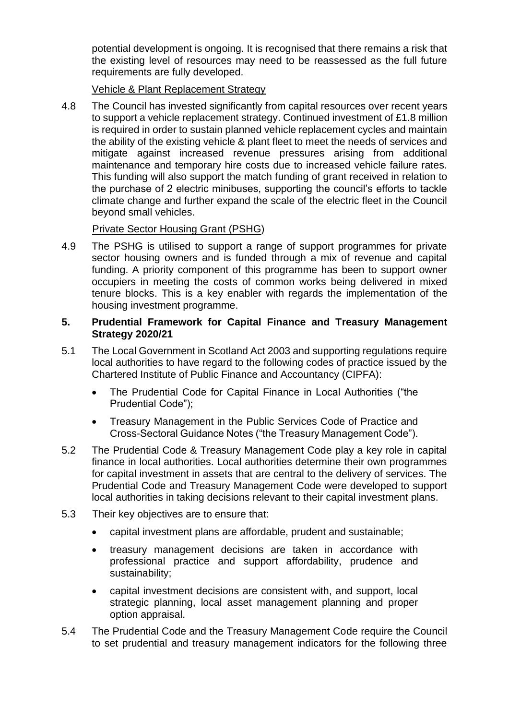potential development is ongoing. It is recognised that there remains a risk that the existing level of resources may need to be reassessed as the full future requirements are fully developed.

Vehicle & Plant Replacement Strategy

4.8 The Council has invested significantly from capital resources over recent years to support a vehicle replacement strategy. Continued investment of £1.8 million is required in order to sustain planned vehicle replacement cycles and maintain the ability of the existing vehicle & plant fleet to meet the needs of services and mitigate against increased revenue pressures arising from additional maintenance and temporary hire costs due to increased vehicle failure rates. This funding will also support the match funding of grant received in relation to the purchase of 2 electric minibuses, supporting the council's efforts to tackle climate change and further expand the scale of the electric fleet in the Council beyond small vehicles.

### Private Sector Housing Grant (PSHG)

4.9 The PSHG is utilised to support a range of support programmes for private sector housing owners and is funded through a mix of revenue and capital funding. A priority component of this programme has been to support owner occupiers in meeting the costs of common works being delivered in mixed tenure blocks. This is a key enabler with regards the implementation of the housing investment programme.

### **5. Prudential Framework for Capital Finance and Treasury Management Strategy 2020/21**

- 5.1 The Local Government in Scotland Act 2003 and supporting regulations require local authorities to have regard to the following codes of practice issued by the Chartered Institute of Public Finance and Accountancy (CIPFA):
	- The Prudential Code for Capital Finance in Local Authorities ("the Prudential Code");
	- Treasury Management in the Public Services Code of Practice and Cross-Sectoral Guidance Notes ("the Treasury Management Code").
- 5.2 The Prudential Code & Treasury Management Code play a key role in capital finance in local authorities. Local authorities determine their own programmes for capital investment in assets that are central to the delivery of services. The Prudential Code and Treasury Management Code were developed to support local authorities in taking decisions relevant to their capital investment plans.
- 5.3 Their key objectives are to ensure that:
	- capital investment plans are affordable, prudent and sustainable;
	- treasury management decisions are taken in accordance with professional practice and support affordability, prudence and sustainability;
	- capital investment decisions are consistent with, and support, local strategic planning, local asset management planning and proper option appraisal.
- 5.4 The Prudential Code and the Treasury Management Code require the Council to set prudential and treasury management indicators for the following three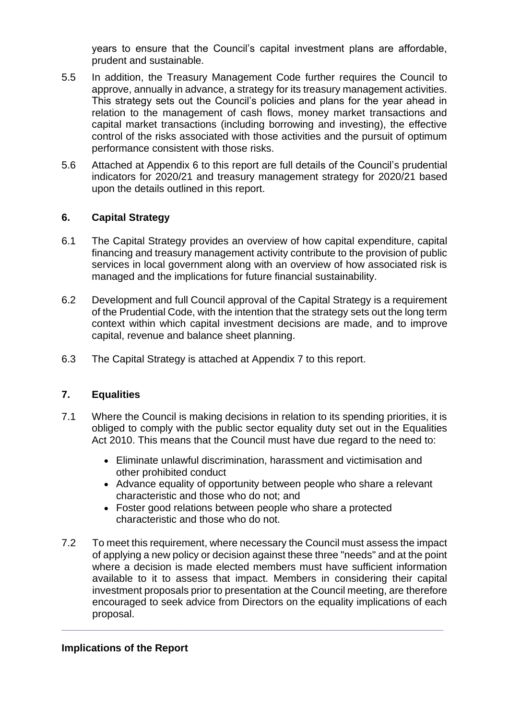years to ensure that the Council's capital investment plans are affordable, prudent and sustainable.

- 5.5 In addition, the Treasury Management Code further requires the Council to approve, annually in advance, a strategy for its treasury management activities. This strategy sets out the Council's policies and plans for the year ahead in relation to the management of cash flows, money market transactions and capital market transactions (including borrowing and investing), the effective control of the risks associated with those activities and the pursuit of optimum performance consistent with those risks.
- 5.6 Attached at Appendix 6 to this report are full details of the Council's prudential indicators for 2020/21 and treasury management strategy for 2020/21 based upon the details outlined in this report.

### **6. Capital Strategy**

- 6.1 The Capital Strategy provides an overview of how capital expenditure, capital financing and treasury management activity contribute to the provision of public services in local government along with an overview of how associated risk is managed and the implications for future financial sustainability.
- 6.2 Development and full Council approval of the Capital Strategy is a requirement of the Prudential Code, with the intention that the strategy sets out the long term context within which capital investment decisions are made, and to improve capital, revenue and balance sheet planning.
- 6.3 The Capital Strategy is attached at Appendix 7 to this report.

### **7. Equalities**

- 7.1 Where the Council is making decisions in relation to its spending priorities, it is obliged to comply with the public sector equality duty set out in the Equalities Act 2010. This means that the Council must have due regard to the need to:
	- Eliminate unlawful discrimination, harassment and victimisation and other prohibited conduct
	- Advance equality of opportunity between people who share a relevant characteristic and those who do not; and
	- Foster good relations between people who share a protected characteristic and those who do not.
- 7.2 To meet this requirement, where necessary the Council must assess the impact of applying a new policy or decision against these three "needs" and at the point where a decision is made elected members must have sufficient information available to it to assess that impact. Members in considering their capital investment proposals prior to presentation at the Council meeting, are therefore encouraged to seek advice from Directors on the equality implications of each proposal.

**\_\_\_\_\_\_\_\_\_\_\_\_\_\_\_\_\_\_\_\_\_\_\_\_\_\_\_\_\_\_\_\_\_\_\_\_\_\_\_\_\_\_\_\_\_\_\_\_\_\_\_\_\_\_\_\_\_\_\_\_\_\_\_\_\_\_\_**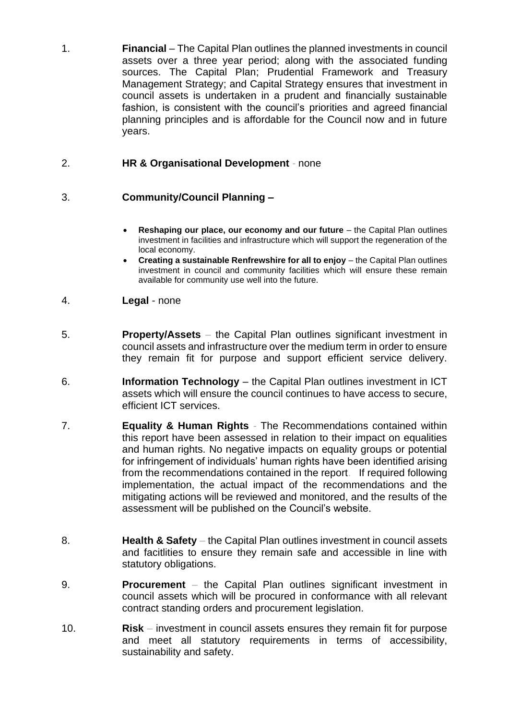1. **Financial** *–* The Capital Plan outlines the planned investments in council assets over a three year period; along with the associated funding sources. The Capital Plan; Prudential Framework and Treasury Management Strategy; and Capital Strategy ensures that investment in council assets is undertaken in a prudent and financially sustainable fashion, is consistent with the council's priorities and agreed financial planning principles and is affordable for the Council now and in future years.

### 2. **HR & Organisational Development** *-* none

### 3. **Community/Council Planning –**

- **Reshaping our place, our economy and our future** the Capital Plan outlines investment in facilities and infrastructure which will support the regeneration of the local economy.
- **Creating a sustainable Renfrewshire for all to enjoy** the Capital Plan outlines investment in council and community facilities which will ensure these remain available for community use well into the future.
- 4. **Legal** none
- 5. **Property/Assets** *–* the Capital Plan outlines significant investment in council assets and infrastructure over the medium term in order to ensure they remain fit for purpose and support efficient service delivery.
- 6. **Information Technology** the Capital Plan outlines investment in ICT assets which will ensure the council continues to have access to secure, efficient ICT services.
- 7. **Equality & Human Rights** *-* The Recommendations contained within this report have been assessed in relation to their impact on equalities and human rights. No negative impacts on equality groups or potential for infringement of individuals' human rights have been identified arising from the recommendations contained in the report. If required following implementation, the actual impact of the recommendations and the mitigating actions will be reviewed and monitored, and the results of the assessment will be published on the Council's website.
- 8. **Health & Safety** the Capital Plan outlines investment in council assets and facitlities to ensure they remain safe and accessible in line with statutory obligations.
- 9. **Procurement** *–* the Capital Plan outlines significant investment in council assets which will be procured in conformance with all relevant contract standing orders and procurement legislation.
- 10. **Risk** *–* investment in council assets ensures they remain fit for purpose and meet all statutory requirements in terms of accessibility, sustainability and safety.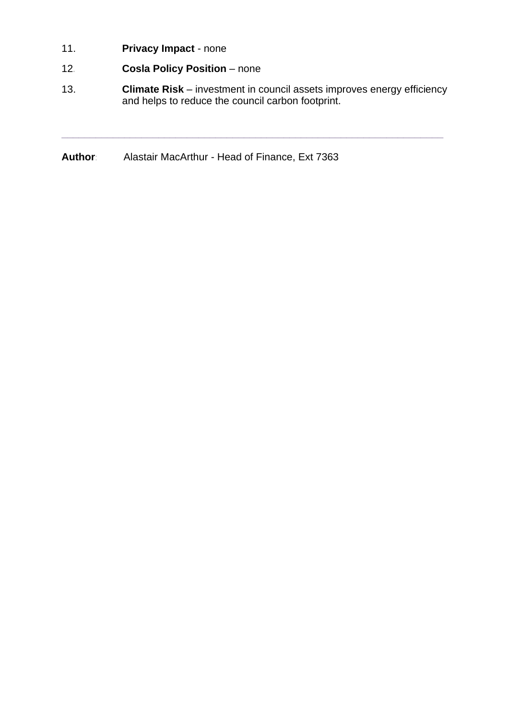- 11. **Privacy Impact** none
- 12*.* **Cosla Policy Position** none
- 13. **Climate Risk** investment in council assets improves energy efficiency and helps to reduce the council carbon footprint.

**\_\_\_\_\_\_\_\_\_\_\_\_\_\_\_\_\_\_\_\_\_\_\_\_\_\_\_\_\_\_\_\_\_\_\_\_\_\_\_\_\_\_\_\_\_\_\_\_\_\_\_\_\_\_\_\_\_\_\_\_\_\_\_\_\_\_\_**

**Author**: Alastair MacArthur - Head of Finance, Ext 7363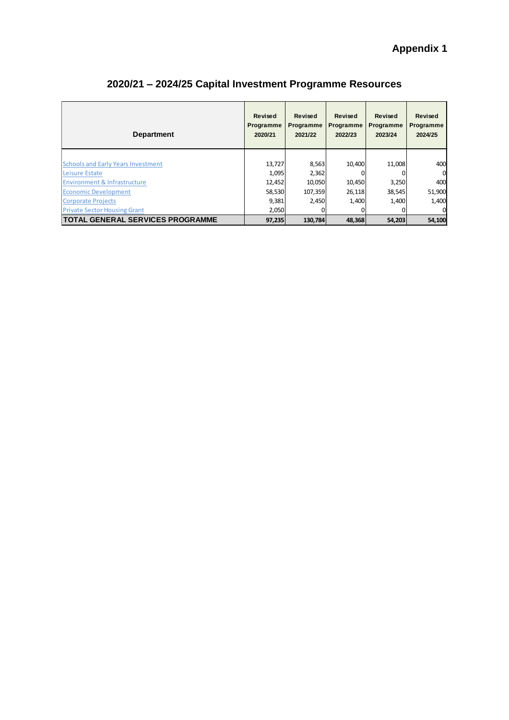| <b>Department</b>                                           | <b>Revised</b><br>Programme<br>2020/21 | <b>Revised</b><br><b>Programme</b><br>2021/22 | <b>Revised</b><br><b>Programme</b><br>2022/23 | <b>Revised</b><br><b>Programme</b><br>2023/24 | <b>Revised</b><br>Programme<br>2024/25 |
|-------------------------------------------------------------|----------------------------------------|-----------------------------------------------|-----------------------------------------------|-----------------------------------------------|----------------------------------------|
| <b>Schools and Early Years Investment</b><br>Leisure Estate | 13,727<br>1.095                        | 8,563<br>2,362                                | 10,400                                        | 11,008                                        | 400<br>$\Omega$                        |
| <b>Environment &amp; Infrastructure</b>                     | 12,452                                 | 10,050                                        | 10,450                                        | 3,250                                         | 400                                    |
| <b>Economic Development</b>                                 | 58,530                                 | 107,359                                       | 26,118                                        | 38,545                                        | 51,900                                 |
| <b>Corporate Projects</b>                                   | 9,381                                  | 2.450                                         | 1,400                                         | 1,400                                         | 1,400                                  |
| <b>Private Sector Housing Grant</b>                         | 2,050                                  |                                               |                                               |                                               | $\Omega$                               |
| <b>TOTAL GENERAL SERVICES PROGRAMME</b>                     | 97,235                                 | 130,784                                       | 48,368                                        | 54,203                                        | 54,100                                 |

# **2020/21 – 2024/25 Capital Investment Programme Resources**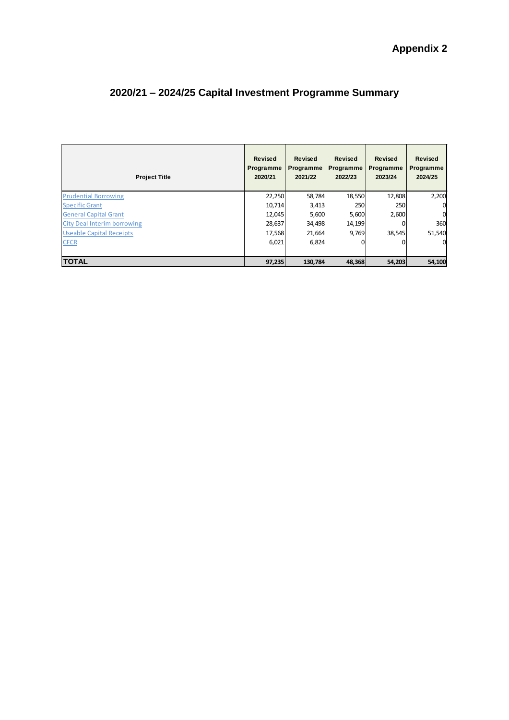| <b>Project Title</b>               | <b>Revised</b><br>Programme<br>2020/21 | <b>Revised</b><br>Programme<br>2021/22 | <b>Revised</b><br>Programme<br>2022/23 | <b>Revised</b><br>Programme<br>2023/24 | <b>Revised</b><br>Programme<br>2024/25 |
|------------------------------------|----------------------------------------|----------------------------------------|----------------------------------------|----------------------------------------|----------------------------------------|
| <b>Prudential Borrowing</b>        | 22,250                                 | 58,784                                 | 18,550                                 | 12,808                                 | 2,200                                  |
| <b>Specific Grant</b>              | 10,714                                 | 3,413                                  | 250                                    | 250                                    | 0                                      |
| <b>General Capital Grant</b>       | 12,045                                 | 5,600                                  | 5,600                                  | 2,600                                  | 0                                      |
| <b>City Deal Interim borrowing</b> | 28,637                                 | 34,498                                 | 14,199                                 | 0                                      | 360                                    |
| <b>Useable Capital Receipts</b>    | 17,568                                 | 21,664                                 | 9,769                                  | 38,545                                 | 51,540                                 |
| <b>CFCR</b>                        | 6,021                                  | 6,824                                  | 0                                      |                                        | 0                                      |
| <b>TOTAL</b>                       | 97,235                                 | 130,784                                | 48,368                                 | 54,203                                 | 54,100                                 |

# **2020/21 – 2024/25 Capital Investment Programme Summary**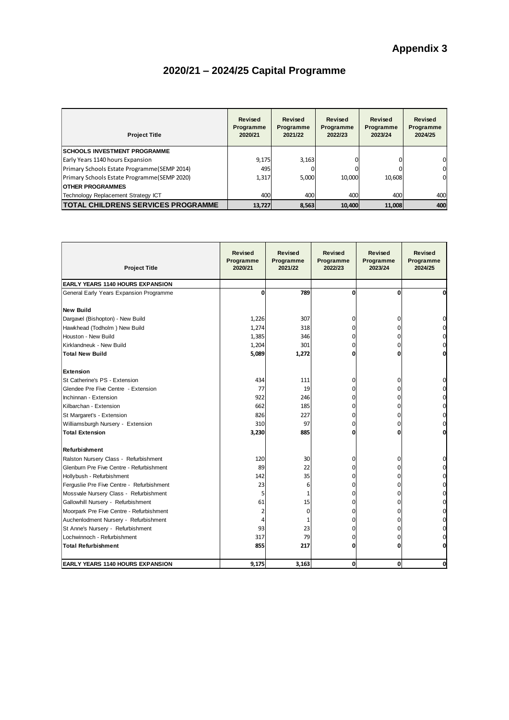# **2020/21 – 2024/25 Capital Programme**

| <b>Project Title</b>                         | Revised<br>Programme<br>2020/21 | Revised<br>Programme<br>2021/22 | Revised<br>Programme<br>2022/23 | Revised<br>Programme<br>2023/24 | Revised<br>Programme<br>2024/25 |
|----------------------------------------------|---------------------------------|---------------------------------|---------------------------------|---------------------------------|---------------------------------|
| <b>ISCHOOLS INVESTMENT PROGRAMME</b>         |                                 |                                 |                                 |                                 |                                 |
| Early Years 1140 hours Expansion             | 9.175                           | 3,163                           |                                 | $\Omega$                        | 0                               |
| Primary Schools Estate Programme (SEMP 2014) | 495                             |                                 |                                 | O                               | 0                               |
| Primary Schools Estate Programme (SEMP 2020) | 1,317                           | 5,000                           | 10,000                          | 10,608                          | 0                               |
| <b>OTHER PROGRAMMES</b>                      |                                 |                                 |                                 |                                 |                                 |
| Technology Replacement Strategy ICT          | 400                             | 400                             | 400                             | 400                             | 400                             |
| <b>TOTAL CHILDRENS SERVICES PROGRAMME</b>    | 13.727                          | 8,563                           | 10.400                          | 11,008                          | 400                             |

| <b>Project Title</b>                      | <b>Revised</b><br>Programme<br>2020/21 | <b>Revised</b><br>Programme<br>2021/22 | Revised<br>Programme<br>2022/23 | Revised<br>Programme<br>2023/24 | Revised<br>Programme<br>2024/25 |
|-------------------------------------------|----------------------------------------|----------------------------------------|---------------------------------|---------------------------------|---------------------------------|
| <b>EARLY YEARS 1140 HOURS EXPANSION</b>   |                                        |                                        |                                 |                                 |                                 |
| General Early Years Expansion Programme   | 0                                      | 789                                    | 0                               | O                               | O                               |
| <b>New Build</b>                          |                                        |                                        |                                 |                                 |                                 |
| Dargavel (Bishopton) - New Build          | 1,226                                  | 307                                    | 0                               | 0                               | 0                               |
| Hawkhead (Todholm) New Build              | 1,274                                  | 318                                    | 0                               | n                               | 0                               |
| Houston - New Build                       | 1,385                                  | 346                                    | 0                               | n                               | 0                               |
| Kirklandneuk - New Build                  | 1,204                                  | 301                                    | 0                               | n                               | 0                               |
| <b>Total New Build</b>                    | 5,089                                  | 1,272                                  | 0                               |                                 | O                               |
| <b>Extension</b>                          |                                        |                                        |                                 |                                 |                                 |
| St Catherine's PS - Extension             | 434                                    | 111                                    | 0                               | 0                               | 0                               |
| Glendee Pre Five Centre - Extension       | 77                                     | 19                                     | 0                               | n                               |                                 |
| Inchinnan - Extension                     | 922                                    | 246                                    | 0                               | n                               | 0                               |
| Kilbarchan - Extension                    | 662                                    | 185                                    | 0                               | 0                               | 0                               |
| St Margaret's - Extension                 | 826                                    | 227                                    | 0                               | 0                               | 0                               |
| Williamsburgh Nursery - Extension         | 310                                    | 97                                     | 0                               | n                               | 0                               |
| <b>Total Extension</b>                    | 3,230                                  | 885                                    | 0                               |                                 | O                               |
| Refurbishment                             |                                        |                                        |                                 |                                 |                                 |
| Ralston Nursery Class - Refurbishment     | 120                                    | 30                                     | 0                               | 0                               | 0                               |
| Glenburn Pre Five Centre - Refurbishment  | 89                                     | 22                                     | 0                               | n                               |                                 |
| Hollybush - Refurbishment                 | 142                                    | 35                                     | 0                               | n                               | 0                               |
| Ferguslie Pre Five Centre - Refurbishment | 23                                     | 6                                      | 0                               | 0                               | 0                               |
| Mossvale Nursery Class - Refurbishment    | 5                                      |                                        | 0                               | 0                               | 0                               |
| Gallowhill Nursery - Refurbishment        | 61                                     | 15                                     | 0                               | 0                               | 0                               |
| Moorpark Pre Five Centre - Refurbishment  | $\overline{2}$                         | 0                                      | 0                               | n                               | 0                               |
| Auchenlodment Nursery - Refurbishment     | 4                                      |                                        | 0                               | n                               | 0                               |
| St Anne's Nursery - Refurbishment         | 93                                     | 23                                     | 0                               |                                 | 0                               |
| Lochwinnoch - Refurbishment               | 317                                    | 79                                     | 0                               |                                 |                                 |
| <b>Total Refurbishment</b>                | 855                                    | 217                                    | 0                               |                                 | 0                               |
| <b>EARLY YEARS 1140 HOURS EXPANSION</b>   | 9.175                                  | 3.163                                  | 0                               | $\mathbf{0}$                    | 0                               |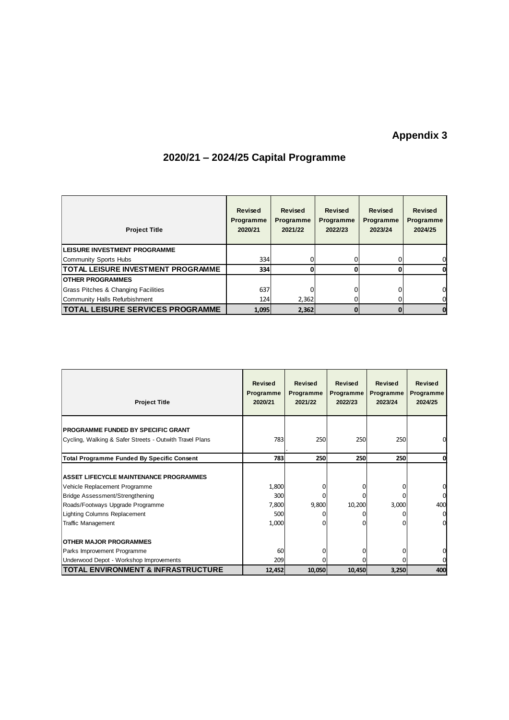# **Appendix 3**

| <b>Project Title</b>                      | Revised<br><b>Programme</b><br>2020/21 | <b>Revised</b><br>Programme<br>2021/22 | <b>Revised</b><br><b>Programme</b><br>2022/23 | <b>Revised</b><br>Programme<br>2023/24 | <b>Revised</b><br><b>Programme</b><br>2024/25 |
|-------------------------------------------|----------------------------------------|----------------------------------------|-----------------------------------------------|----------------------------------------|-----------------------------------------------|
| <b>ILEISURE INVESTMENT PROGRAMME</b>      |                                        |                                        |                                               |                                        |                                               |
| Community Sports Hubs                     | 334                                    | 0                                      |                                               |                                        | 0                                             |
| <b>TOTAL LEISURE INVESTMENT PROGRAMME</b> | 334                                    |                                        |                                               |                                        | 0                                             |
| <b>IOTHER PROGRAMMES</b>                  |                                        |                                        |                                               |                                        |                                               |
| Grass Pitches & Changing Facilities       | 637                                    |                                        |                                               |                                        | 0                                             |
| Community Halls Refurbishment             | 124                                    | 2,362                                  |                                               |                                        | 0                                             |
| <b>TOTAL LEISURE SERVICES PROGRAMME</b>   | 1,095                                  | 2.362                                  |                                               |                                        | 0                                             |

# **2020/21 – 2024/25 Capital Programme**

| <b>Project Title</b>                                                                                                                                                                                                             | <b>Revised</b><br>Programme<br>2020/21 | <b>Revised</b><br>Programme<br>2021/22 | Revised<br>Programme<br>2022/23 | Revised<br>Programme<br>2023/24 | Revised<br>Programme<br>2024/25      |
|----------------------------------------------------------------------------------------------------------------------------------------------------------------------------------------------------------------------------------|----------------------------------------|----------------------------------------|---------------------------------|---------------------------------|--------------------------------------|
| <b>PROGRAMME FUNDED BY SPECIFIC GRANT</b>                                                                                                                                                                                        |                                        |                                        |                                 |                                 |                                      |
| Cycling, Walking & Safer Streets - Outwith Travel Plans                                                                                                                                                                          | 783                                    | 250                                    | 250                             | 250                             | 0                                    |
| <b>Total Programme Funded By Specific Consent</b>                                                                                                                                                                                | 783                                    | 250                                    | 250                             | 250                             | 0                                    |
| <b>ASSET LIFECYCLE MAINTENANCE PROGRAMMES</b><br>Vehicle Replacement Programme<br><b>Bridge Assessment/Strengthening</b><br>Roads/Footways Upgrade Programme<br><b>Lighting Columns Replacement</b><br><b>Traffic Management</b> | 1,800<br>300<br>7,800<br>500<br>1,000  | 9,800                                  | 10,200                          | 3,000                           | 0<br>0<br>400<br>0<br>$\overline{0}$ |
| <b>IOTHER MAJOR PROGRAMMES</b><br>Parks Improvement Programme<br>Underwood Depot - Workshop Improvements                                                                                                                         | 60<br>209                              |                                        |                                 |                                 | 0                                    |
| <b>TOTAL ENVIRONMENT &amp; INFRASTRUCTURE</b>                                                                                                                                                                                    | 12,452                                 | 10,050                                 | 10,450                          | 3,250                           | 400                                  |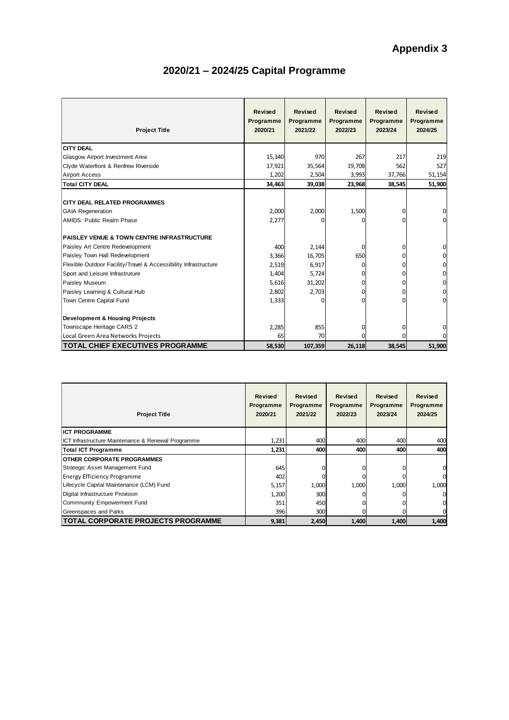| <b>Project Title</b>                                                                   | <b>Revised</b><br>Programme<br>2020/21 | <b>Revised</b><br>Programme<br>2021/22 | <b>Revised</b><br>Programme<br>2022/23 | Revised<br>Programme<br>2023/24 | <b>Revised</b><br>Programme<br>2024/25 |
|----------------------------------------------------------------------------------------|----------------------------------------|----------------------------------------|----------------------------------------|---------------------------------|----------------------------------------|
| <b>CITY DEAL</b>                                                                       |                                        |                                        |                                        |                                 |                                        |
| Glasgow Airport Investment Area                                                        | 15,340                                 | 970                                    | 267                                    | 217                             | 219                                    |
| Clyde Waterfront & Renfrew Riverside                                                   | 17,921                                 | 35,564                                 | 19,708                                 | 562                             | 527                                    |
| <b>Airport Access</b>                                                                  | 1,202                                  | 2,504                                  | 3,993                                  | 37,766                          | 51,154                                 |
| <b>Total CITY DEAL</b>                                                                 | 34,463                                 | 39,038                                 | 23,968                                 | 38,545                          | 51,900                                 |
| ICITY DEAL RELATED PROGRAMMES<br><b>GAIA Regeneration</b><br>AMIDS: Public Realm Phase | 2,000<br>2,277                         | 2,000                                  | 1,500<br>n                             | 0<br>0                          | $\overline{0}$<br>$\overline{0}$       |
| PAISLEY VENUE & TOWN CENTRE INFRASTRUCTURE                                             |                                        |                                        |                                        |                                 |                                        |
| Paisley Art Centre Redevelopment                                                       | 400                                    | 2,144                                  | 0                                      | 0                               | 0                                      |
| Paisley Town Hall Redevelopment                                                        | 3,366                                  | 16,705                                 | 650                                    | 0                               | $\overline{0}$                         |
| Flexible Outdoor Facility/Travel & Accessibility Infrastructure                        | 2,519                                  | 6,917                                  | ŋ                                      | O                               | $\mathbf 0$                            |
| Sport and Leisure Infrastruture                                                        | 1,404                                  | 5,724                                  | o                                      | ŋ                               | $\mathbf 0$                            |
| Paisley Museum                                                                         | 5,616                                  | 31,202                                 | 0                                      | 0                               | $\overline{0}$                         |
| Paisley Learning & Cultural Hub                                                        | 2,802                                  | 2,703                                  | O                                      | ŋ                               | $\mathbf 0$                            |
| Town Centre Capital Fund                                                               | 1,333                                  |                                        | O                                      | n                               | O                                      |
| <b>Development &amp; Housing Projects</b>                                              |                                        |                                        |                                        |                                 |                                        |
| Townscape Heritage CARS 2                                                              | 2,285                                  | 855                                    | ŋ                                      | 0                               | 0                                      |
| Local Green Area Networks Projects                                                     | 65                                     | 70                                     |                                        |                                 | $\Omega$                               |
| <b>TOTAL CHIEF EXECUTIVES PROGRAMME</b>                                                | 58,530                                 | 107,359                                | 26,118                                 | 38,545                          | 51,900                                 |

# **2020/21 – 2024/25 Capital Programme**

| <b>Project Title</b>                               | Revised<br>Programme<br>2020/21 | Revised<br>Programme<br>2021/22 | Revised<br>Programme<br>2022/23 | Revised<br>Programme<br>2023/24 | Revised<br>Programme<br>2024/25 |
|----------------------------------------------------|---------------------------------|---------------------------------|---------------------------------|---------------------------------|---------------------------------|
| <b>ICT PROGRAMME</b>                               |                                 |                                 |                                 |                                 |                                 |
| ICT Infrastructure Maintenance & Renewal Programme | 1,231                           | 400                             | 400                             | 400                             | 400                             |
| <b>Total ICT Programme</b>                         | 1,231                           | 400                             | 400                             | 400                             | 400                             |
| <b>OTHER CORPORATE PROGRAMMES</b>                  |                                 |                                 |                                 |                                 |                                 |
| Strategic Asset Management Fund                    | 645                             |                                 |                                 |                                 | 0                               |
| <b>Energy Efficiency Programme</b>                 | 402                             |                                 |                                 |                                 | 0                               |
| Lifecycle Capital Maintenance (LCM) Fund           | 5,157                           | 1,000                           | 1,000                           | 1,000                           | 1,000                           |
| Digital Infrastructure Provision                   | 1,200                           | 300                             |                                 |                                 | 0                               |
| Commnunity Empowerment Fund                        | 351                             | 450                             |                                 |                                 | 0                               |
| Greenspaces and Parks                              | 396                             | 300                             |                                 |                                 | 0                               |
| <b>TOTAL CORPORATE PROJECTS PROGRAMME</b>          | 9,381                           | 2,450                           | 1,400                           | 1,400                           | 1,400                           |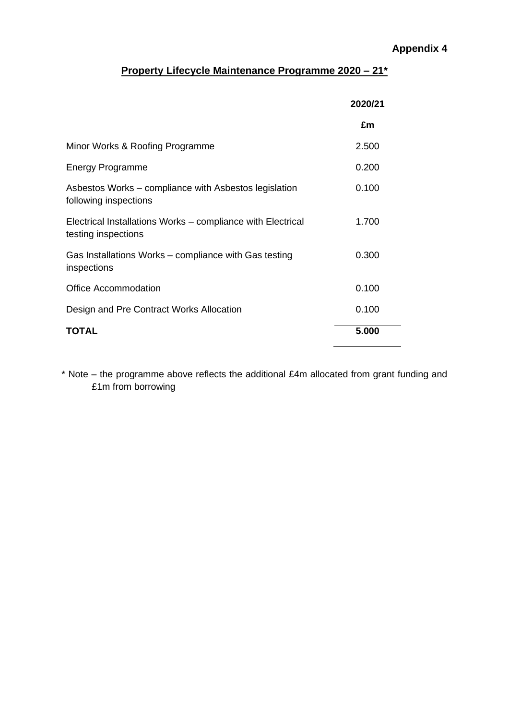# **Appendix 4**

### **Property Lifecycle Maintenance Programme 2020 – 21\***

|                                                                                    | 2020/21 |
|------------------------------------------------------------------------------------|---------|
|                                                                                    | £m      |
| Minor Works & Roofing Programme                                                    | 2.500   |
| <b>Energy Programme</b>                                                            | 0.200   |
| Asbestos Works – compliance with Asbestos legislation<br>following inspections     | 0.100   |
| Electrical Installations Works – compliance with Electrical<br>testing inspections | 1.700   |
| Gas Installations Works – compliance with Gas testing<br>inspections               | 0.300   |
| <b>Office Accommodation</b>                                                        | 0.100   |
| Design and Pre Contract Works Allocation                                           | 0.100   |
| <b>TOTAL</b>                                                                       | 5.000   |

\* Note – the programme above reflects the additional £4m allocated from grant funding and £1m from borrowing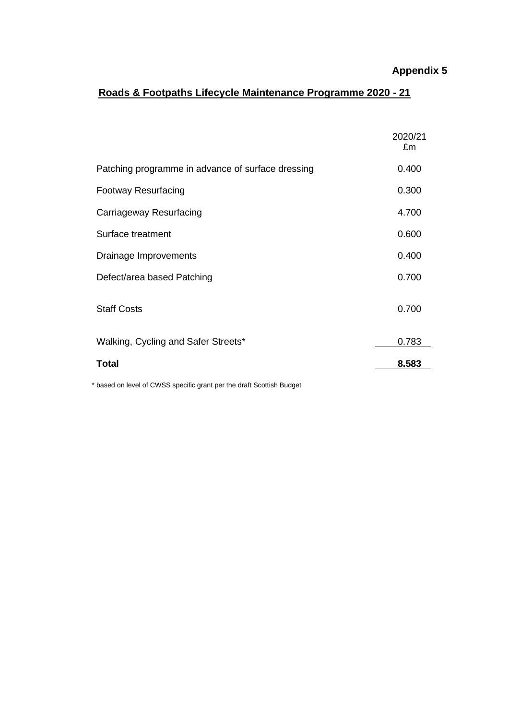### **Appendix 5**

# **Roads & Footpaths Lifecycle Maintenance Programme 2020 - 21**

|                                                   | 2020/21<br>£m |
|---------------------------------------------------|---------------|
| Patching programme in advance of surface dressing | 0.400         |
| <b>Footway Resurfacing</b>                        | 0.300         |
| Carriageway Resurfacing                           | 4.700         |
| Surface treatment                                 | 0.600         |
| Drainage Improvements                             | 0.400         |
| Defect/area based Patching                        | 0.700         |
| <b>Staff Costs</b>                                | 0.700         |
| Walking, Cycling and Safer Streets*               | 0.783         |
| <b>Total</b>                                      | 8.583         |

\* based on level of CWSS specific grant per the draft Scottish Budget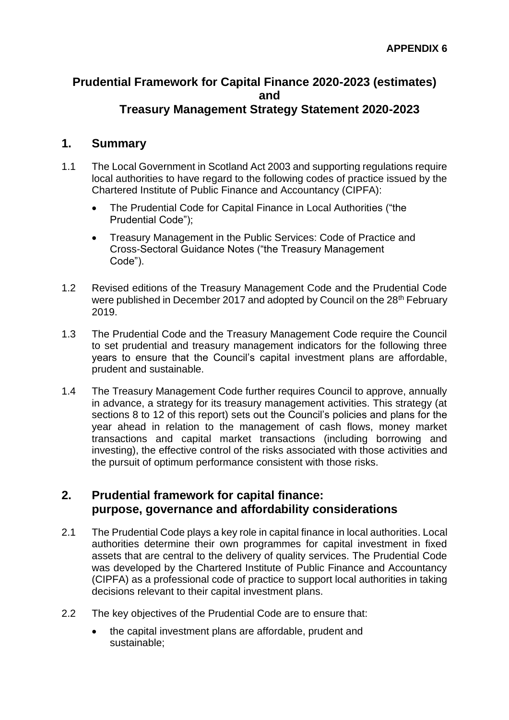### **Prudential Framework for Capital Finance 2020-2023 (estimates) and Treasury Management Strategy Statement 2020-2023**

### **1. Summary**

- 1.1 The Local Government in Scotland Act 2003 and supporting regulations require local authorities to have regard to the following codes of practice issued by the Chartered Institute of Public Finance and Accountancy (CIPFA):
	- The Prudential Code for Capital Finance in Local Authorities ("the Prudential Code");
	- Treasury Management in the Public Services: Code of Practice and Cross-Sectoral Guidance Notes ("the Treasury Management Code").
- 1.2 Revised editions of the Treasury Management Code and the Prudential Code were published in December 2017 and adopted by Council on the 28<sup>th</sup> February 2019.
- 1.3 The Prudential Code and the Treasury Management Code require the Council to set prudential and treasury management indicators for the following three years to ensure that the Council's capital investment plans are affordable, prudent and sustainable.
- 1.4 The Treasury Management Code further requires Council to approve, annually in advance, a strategy for its treasury management activities. This strategy (at sections 8 to 12 of this report) sets out the Council's policies and plans for the year ahead in relation to the management of cash flows, money market transactions and capital market transactions (including borrowing and investing), the effective control of the risks associated with those activities and the pursuit of optimum performance consistent with those risks.

## **2. Prudential framework for capital finance: purpose, governance and affordability considerations**

- 2.1 The Prudential Code plays a key role in capital finance in local authorities. Local authorities determine their own programmes for capital investment in fixed assets that are central to the delivery of quality services. The Prudential Code was developed by the Chartered Institute of Public Finance and Accountancy (CIPFA) as a professional code of practice to support local authorities in taking decisions relevant to their capital investment plans.
- 2.2 The key objectives of the Prudential Code are to ensure that:
	- the capital investment plans are affordable, prudent and sustainable;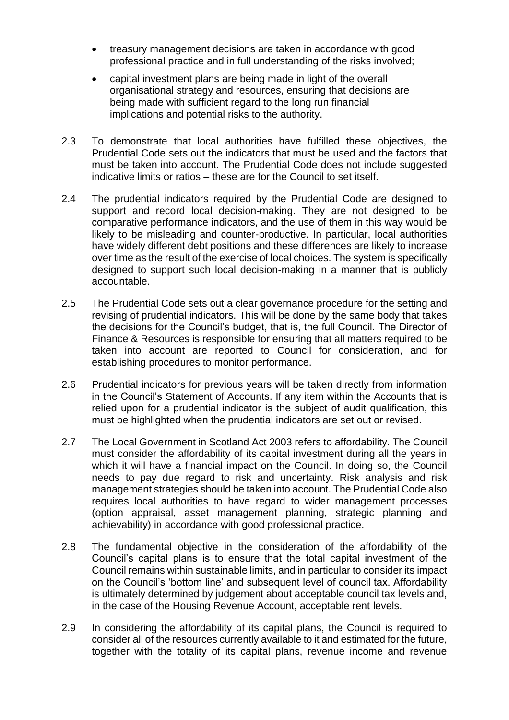- treasury management decisions are taken in accordance with good professional practice and in full understanding of the risks involved;
- capital investment plans are being made in light of the overall organisational strategy and resources, ensuring that decisions are being made with sufficient regard to the long run financial implications and potential risks to the authority.
- 2.3 To demonstrate that local authorities have fulfilled these objectives, the Prudential Code sets out the indicators that must be used and the factors that must be taken into account. The Prudential Code does not include suggested indicative limits or ratios – these are for the Council to set itself.
- 2.4 The prudential indicators required by the Prudential Code are designed to support and record local decision-making. They are not designed to be comparative performance indicators, and the use of them in this way would be likely to be misleading and counter-productive. In particular, local authorities have widely different debt positions and these differences are likely to increase over time as the result of the exercise of local choices. The system is specifically designed to support such local decision-making in a manner that is publicly accountable.
- 2.5 The Prudential Code sets out a clear governance procedure for the setting and revising of prudential indicators. This will be done by the same body that takes the decisions for the Council's budget, that is, the full Council. The Director of Finance & Resources is responsible for ensuring that all matters required to be taken into account are reported to Council for consideration, and for establishing procedures to monitor performance.
- 2.6 Prudential indicators for previous years will be taken directly from information in the Council's Statement of Accounts. If any item within the Accounts that is relied upon for a prudential indicator is the subject of audit qualification, this must be highlighted when the prudential indicators are set out or revised.
- 2.7 The Local Government in Scotland Act 2003 refers to affordability. The Council must consider the affordability of its capital investment during all the years in which it will have a financial impact on the Council. In doing so, the Council needs to pay due regard to risk and uncertainty. Risk analysis and risk management strategies should be taken into account. The Prudential Code also requires local authorities to have regard to wider management processes (option appraisal, asset management planning, strategic planning and achievability) in accordance with good professional practice.
- 2.8 The fundamental objective in the consideration of the affordability of the Council's capital plans is to ensure that the total capital investment of the Council remains within sustainable limits, and in particular to consider its impact on the Council's 'bottom line' and subsequent level of council tax. Affordability is ultimately determined by judgement about acceptable council tax levels and, in the case of the Housing Revenue Account, acceptable rent levels.
- 2.9 In considering the affordability of its capital plans, the Council is required to consider all of the resources currently available to it and estimated for the future, together with the totality of its capital plans, revenue income and revenue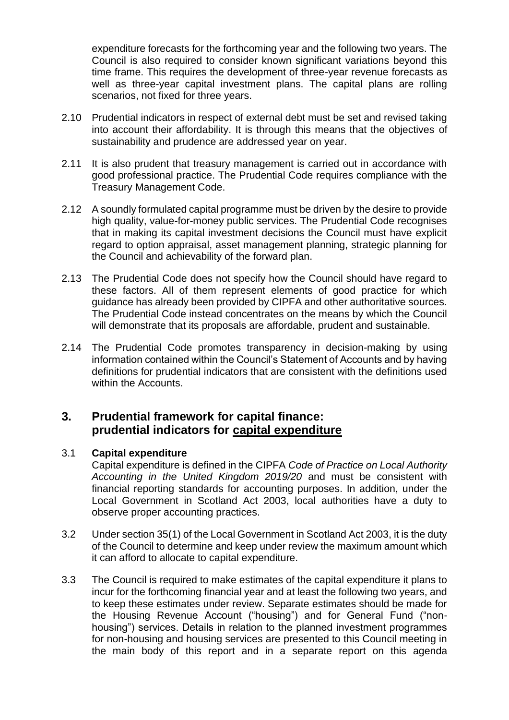expenditure forecasts for the forthcoming year and the following two years. The Council is also required to consider known significant variations beyond this time frame. This requires the development of three-year revenue forecasts as well as three-year capital investment plans. The capital plans are rolling scenarios, not fixed for three years.

- 2.10 Prudential indicators in respect of external debt must be set and revised taking into account their affordability. It is through this means that the objectives of sustainability and prudence are addressed year on year.
- 2.11 It is also prudent that treasury management is carried out in accordance with good professional practice. The Prudential Code requires compliance with the Treasury Management Code.
- 2.12 A soundly formulated capital programme must be driven by the desire to provide high quality, value-for-money public services. The Prudential Code recognises that in making its capital investment decisions the Council must have explicit regard to option appraisal, asset management planning, strategic planning for the Council and achievability of the forward plan.
- 2.13 The Prudential Code does not specify how the Council should have regard to these factors. All of them represent elements of good practice for which guidance has already been provided by CIPFA and other authoritative sources. The Prudential Code instead concentrates on the means by which the Council will demonstrate that its proposals are affordable, prudent and sustainable.
- 2.14 The Prudential Code promotes transparency in decision-making by using information contained within the Council's Statement of Accounts and by having definitions for prudential indicators that are consistent with the definitions used within the Accounts.

### **3. Prudential framework for capital finance: prudential indicators for capital expenditure**

### 3.1 **Capital expenditure**

Capital expenditure is defined in the CIPFA *Code of Practice on Local Authority Accounting in the United Kingdom 2019/20* and must be consistent with financial reporting standards for accounting purposes. In addition, under the Local Government in Scotland Act 2003, local authorities have a duty to observe proper accounting practices.

- 3.2 Under section 35(1) of the Local Government in Scotland Act 2003, it is the duty of the Council to determine and keep under review the maximum amount which it can afford to allocate to capital expenditure.
- 3.3 The Council is required to make estimates of the capital expenditure it plans to incur for the forthcoming financial year and at least the following two years, and to keep these estimates under review. Separate estimates should be made for the Housing Revenue Account ("housing") and for General Fund ("nonhousing") services. Details in relation to the planned investment programmes for non-housing and housing services are presented to this Council meeting in the main body of this report and in a separate report on this agenda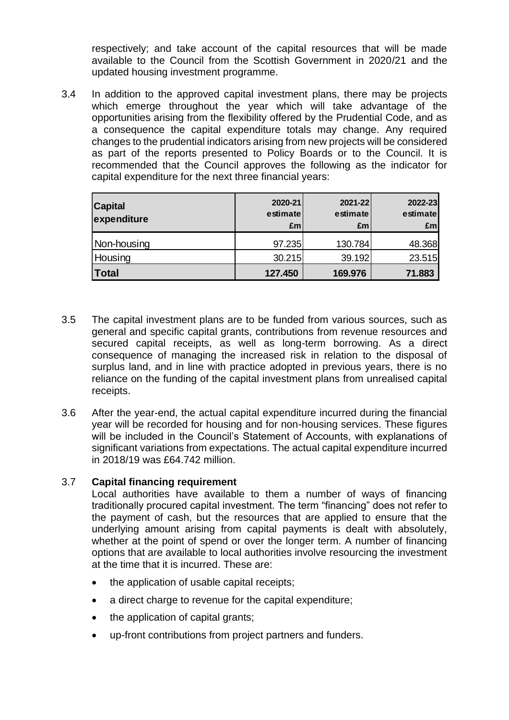respectively; and take account of the capital resources that will be made available to the Council from the Scottish Government in 2020/21 and the updated housing investment programme.

3.4 In addition to the approved capital investment plans, there may be projects which emerge throughout the year which will take advantage of the opportunities arising from the flexibility offered by the Prudential Code, and as a consequence the capital expenditure totals may change. Any required changes to the prudential indicators arising from new projects will be considered as part of the reports presented to Policy Boards or to the Council. It is recommended that the Council approves the following as the indicator for capital expenditure for the next three financial years:

| <b>Capital</b><br>expenditure | 2020-21<br>estimate<br>Em <sub>l</sub> | 2021-22<br>estimate<br>£m | 2022-23<br>estimate<br>£m |
|-------------------------------|----------------------------------------|---------------------------|---------------------------|
| Non-housing                   | 97.235                                 | 130.784                   | 48.368                    |
| Housing                       | 30.215                                 | 39.192                    | 23.515                    |
| <b>Total</b>                  | 127.450                                | 169.976                   | 71.883                    |

- 3.5 The capital investment plans are to be funded from various sources, such as general and specific capital grants, contributions from revenue resources and secured capital receipts, as well as long-term borrowing. As a direct consequence of managing the increased risk in relation to the disposal of surplus land, and in line with practice adopted in previous years, there is no reliance on the funding of the capital investment plans from unrealised capital receipts.
- 3.6 After the year-end, the actual capital expenditure incurred during the financial year will be recorded for housing and for non-housing services. These figures will be included in the Council's Statement of Accounts, with explanations of significant variations from expectations. The actual capital expenditure incurred in 2018/19 was £64.742 million.

### 3.7 **Capital financing requirement**

Local authorities have available to them a number of ways of financing traditionally procured capital investment. The term "financing" does not refer to the payment of cash, but the resources that are applied to ensure that the underlying amount arising from capital payments is dealt with absolutely, whether at the point of spend or over the longer term. A number of financing options that are available to local authorities involve resourcing the investment at the time that it is incurred. These are:

- the application of usable capital receipts;
- a direct charge to revenue for the capital expenditure;
- the application of capital grants;
- up-front contributions from project partners and funders.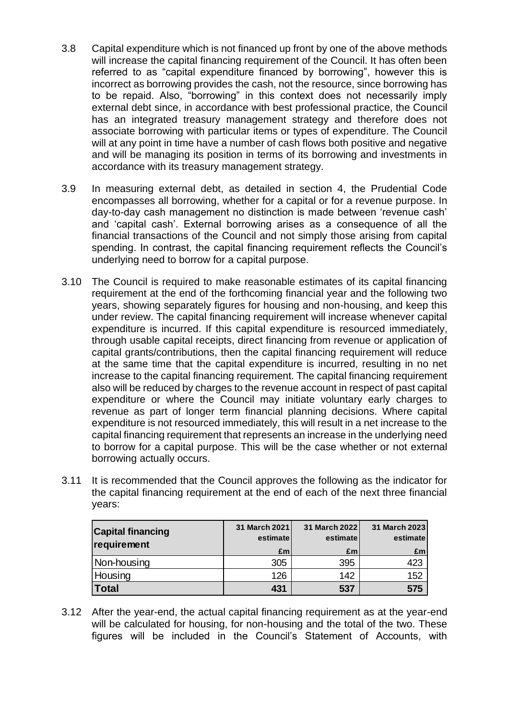- 3.8 Capital expenditure which is not financed up front by one of the above methods will increase the capital financing requirement of the Council. It has often been referred to as "capital expenditure financed by borrowing", however this is incorrect as borrowing provides the cash, not the resource, since borrowing has to be repaid. Also, "borrowing" in this context does not necessarily imply external debt since, in accordance with best professional practice, the Council has an integrated treasury management strategy and therefore does not associate borrowing with particular items or types of expenditure. The Council will at any point in time have a number of cash flows both positive and negative and will be managing its position in terms of its borrowing and investments in accordance with its treasury management strategy.
- 3.9 In measuring external debt, as detailed in section 4, the Prudential Code encompasses all borrowing, whether for a capital or for a revenue purpose. In day-to-day cash management no distinction is made between 'revenue cash' and 'capital cash'. External borrowing arises as a consequence of all the financial transactions of the Council and not simply those arising from capital spending. In contrast, the capital financing requirement reflects the Council's underlying need to borrow for a capital purpose.
- 3.10 The Council is required to make reasonable estimates of its capital financing requirement at the end of the forthcoming financial year and the following two years, showing separately figures for housing and non-housing, and keep this under review. The capital financing requirement will increase whenever capital expenditure is incurred. If this capital expenditure is resourced immediately, through usable capital receipts, direct financing from revenue or application of capital grants/contributions, then the capital financing requirement will reduce at the same time that the capital expenditure is incurred, resulting in no net increase to the capital financing requirement. The capital financing requirement also will be reduced by charges to the revenue account in respect of past capital expenditure or where the Council may initiate voluntary early charges to revenue as part of longer term financial planning decisions. Where capital expenditure is not resourced immediately, this will result in a net increase to the capital financing requirement that represents an increase in the underlying need to borrow for a capital purpose. This will be the case whether or not external borrowing actually occurs.
- 3.11 It is recommended that the Council approves the following as the indicator for the capital financing requirement at the end of each of the next three financial years:

| <b>Capital financing</b><br>requirement | 31 March 2021<br>estimate | 31 March 2022<br>estimate | 31 March 2023<br>estimate |
|-----------------------------------------|---------------------------|---------------------------|---------------------------|
|                                         | £m                        | £m                        | £m                        |
| Non-housing                             | 305                       | 395                       | 423                       |
| Housing                                 | 126                       | 142                       | 152                       |
| Total                                   | 431                       | 537                       | 575                       |

3.12 After the year-end, the actual capital financing requirement as at the year-end will be calculated for housing, for non-housing and the total of the two. These figures will be included in the Council's Statement of Accounts, with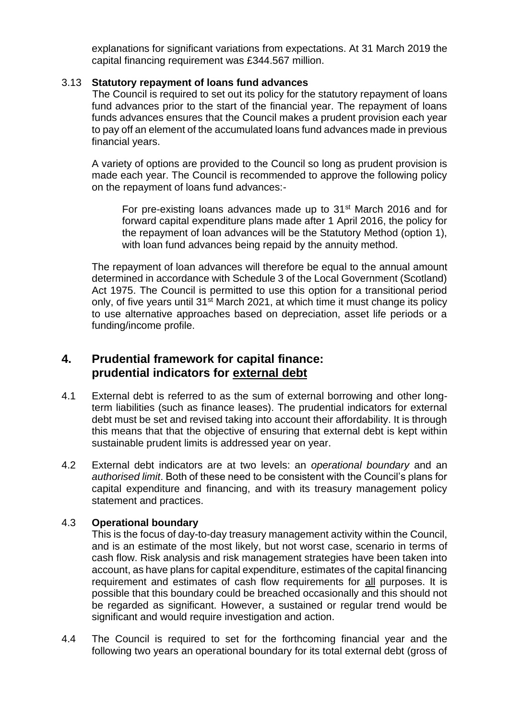explanations for significant variations from expectations. At 31 March 2019 the capital financing requirement was £344.567 million.

#### 3.13 **Statutory repayment of loans fund advances**

The Council is required to set out its policy for the statutory repayment of loans fund advances prior to the start of the financial year. The repayment of loans funds advances ensures that the Council makes a prudent provision each year to pay off an element of the accumulated loans fund advances made in previous financial years.

A variety of options are provided to the Council so long as prudent provision is made each year. The Council is recommended to approve the following policy on the repayment of loans fund advances:-

For pre-existing loans advances made up to 31<sup>st</sup> March 2016 and for forward capital expenditure plans made after 1 April 2016, the policy for the repayment of loan advances will be the Statutory Method (option 1), with loan fund advances being repaid by the annuity method.

The repayment of loan advances will therefore be equal to the annual amount determined in accordance with Schedule 3 of the Local Government (Scotland) Act 1975. The Council is permitted to use this option for a transitional period only, of five years until 31<sup>st</sup> March 2021, at which time it must change its policy to use alternative approaches based on depreciation, asset life periods or a funding/income profile.

## **4. Prudential framework for capital finance: prudential indicators for external debt**

- 4.1 External debt is referred to as the sum of external borrowing and other longterm liabilities (such as finance leases). The prudential indicators for external debt must be set and revised taking into account their affordability. It is through this means that that the objective of ensuring that external debt is kept within sustainable prudent limits is addressed year on year.
- 4.2 External debt indicators are at two levels: an *operational boundary* and an *authorised limit*. Both of these need to be consistent with the Council's plans for capital expenditure and financing, and with its treasury management policy statement and practices.

### 4.3 **Operational boundary**

This is the focus of day-to-day treasury management activity within the Council, and is an estimate of the most likely, but not worst case, scenario in terms of cash flow. Risk analysis and risk management strategies have been taken into account, as have plans for capital expenditure, estimates of the capital financing requirement and estimates of cash flow requirements for all purposes. It is possible that this boundary could be breached occasionally and this should not be regarded as significant. However, a sustained or regular trend would be significant and would require investigation and action.

4.4 The Council is required to set for the forthcoming financial year and the following two years an operational boundary for its total external debt (gross of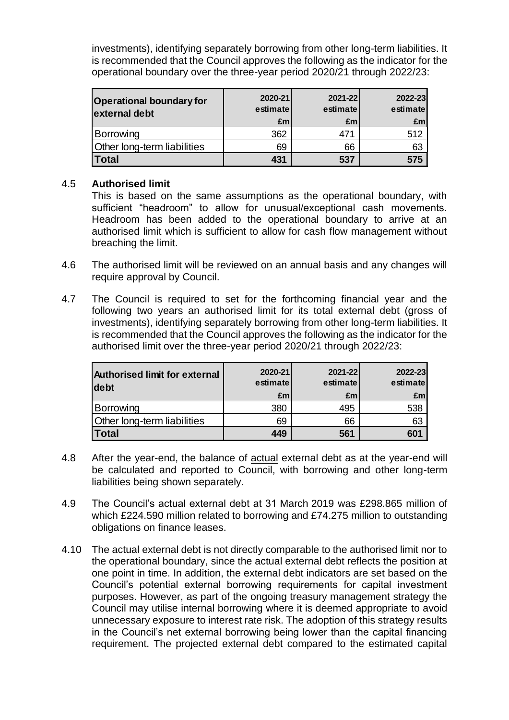investments), identifying separately borrowing from other long-term liabilities. It is recommended that the Council approves the following as the indicator for the operational boundary over the three-year period 2020/21 through 2022/23:

| <b>Operational boundary for</b><br>external debt | 2020-21<br>estimate<br>£m | 2021-22<br>estimate<br>£m | 2022-23<br>estimate<br>Em <sub>l</sub> |
|--------------------------------------------------|---------------------------|---------------------------|----------------------------------------|
| Borrowing                                        | 362                       | 471                       | 512                                    |
| <b>Other long-term liabilities</b>               | 69                        | 66                        | 63                                     |
| Total                                            | 431                       | 537                       | 575                                    |

### 4.5 **Authorised limit**

This is based on the same assumptions as the operational boundary, with sufficient "headroom" to allow for unusual/exceptional cash movements. Headroom has been added to the operational boundary to arrive at an authorised limit which is sufficient to allow for cash flow management without breaching the limit.

- 4.6 The authorised limit will be reviewed on an annual basis and any changes will require approval by Council.
- 4.7 The Council is required to set for the forthcoming financial year and the following two years an authorised limit for its total external debt (gross of investments), identifying separately borrowing from other long-term liabilities. It is recommended that the Council approves the following as the indicator for the authorised limit over the three-year period 2020/21 through 2022/23:

| <b>Authorised limit for external</b><br>debt | 2020-21<br>estimate<br>£m | 2021-22<br>estimate<br>£m | 2022-23<br>estimate<br>£m |
|----------------------------------------------|---------------------------|---------------------------|---------------------------|
| Borrowing                                    | 380                       | 495                       | 538                       |
| Other long-term liabilities                  | 69                        | 66                        | 63                        |
| <b>Total</b>                                 | 449                       | 561                       | 601                       |

- 4.8 After the year-end, the balance of actual external debt as at the year-end will be calculated and reported to Council, with borrowing and other long-term liabilities being shown separately.
- 4.9 The Council's actual external debt at 31 March 2019 was £298.865 million of which £224.590 million related to borrowing and £74.275 million to outstanding obligations on finance leases.
- 4.10 The actual external debt is not directly comparable to the authorised limit nor to the operational boundary, since the actual external debt reflects the position at one point in time. In addition, the external debt indicators are set based on the Council's potential external borrowing requirements for capital investment purposes. However, as part of the ongoing treasury management strategy the Council may utilise internal borrowing where it is deemed appropriate to avoid unnecessary exposure to interest rate risk. The adoption of this strategy results in the Council's net external borrowing being lower than the capital financing requirement. The projected external debt compared to the estimated capital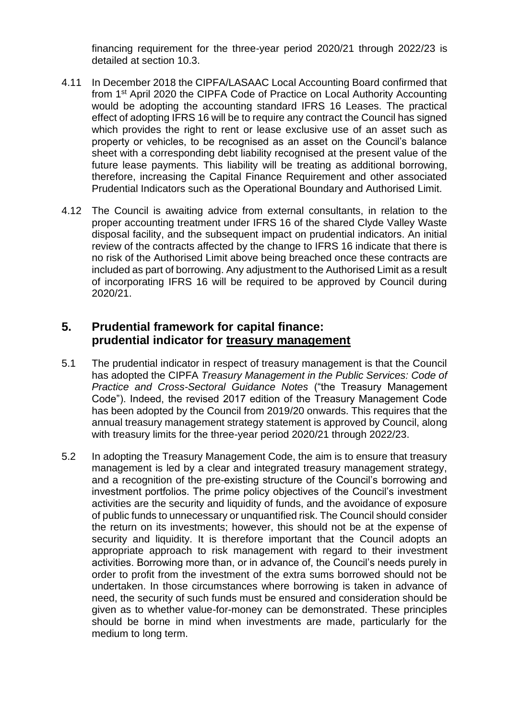financing requirement for the three-year period 2020/21 through 2022/23 is detailed at section 10.3.

- 4.11 In December 2018 the CIPFA/LASAAC Local Accounting Board confirmed that from 1st April 2020 the CIPFA Code of Practice on Local Authority Accounting would be adopting the accounting standard IFRS 16 Leases. The practical effect of adopting IFRS 16 will be to require any contract the Council has signed which provides the right to rent or lease exclusive use of an asset such as property or vehicles, to be recognised as an asset on the Council's balance sheet with a corresponding debt liability recognised at the present value of the future lease payments. This liability will be treating as additional borrowing, therefore, increasing the Capital Finance Requirement and other associated Prudential Indicators such as the Operational Boundary and Authorised Limit.
- 4.12 The Council is awaiting advice from external consultants, in relation to the proper accounting treatment under IFRS 16 of the shared Clyde Valley Waste disposal facility, and the subsequent impact on prudential indicators. An initial review of the contracts affected by the change to IFRS 16 indicate that there is no risk of the Authorised Limit above being breached once these contracts are included as part of borrowing. Any adjustment to the Authorised Limit as a result of incorporating IFRS 16 will be required to be approved by Council during 2020/21.

### **5. Prudential framework for capital finance: prudential indicator for treasury management**

- 5.1 The prudential indicator in respect of treasury management is that the Council has adopted the CIPFA *Treasury Management in the Public Services: Code of Practice and Cross-Sectoral Guidance Notes* ("the Treasury Management Code"). Indeed, the revised 2017 edition of the Treasury Management Code has been adopted by the Council from 2019/20 onwards. This requires that the annual treasury management strategy statement is approved by Council, along with treasury limits for the three-year period 2020/21 through 2022/23.
- 5.2 In adopting the Treasury Management Code, the aim is to ensure that treasury management is led by a clear and integrated treasury management strategy, and a recognition of the pre-existing structure of the Council's borrowing and investment portfolios. The prime policy objectives of the Council's investment activities are the security and liquidity of funds, and the avoidance of exposure of public funds to unnecessary or unquantified risk. The Council should consider the return on its investments; however, this should not be at the expense of security and liquidity. It is therefore important that the Council adopts an appropriate approach to risk management with regard to their investment activities. Borrowing more than, or in advance of, the Council's needs purely in order to profit from the investment of the extra sums borrowed should not be undertaken. In those circumstances where borrowing is taken in advance of need, the security of such funds must be ensured and consideration should be given as to whether value-for-money can be demonstrated. These principles should be borne in mind when investments are made, particularly for the medium to long term.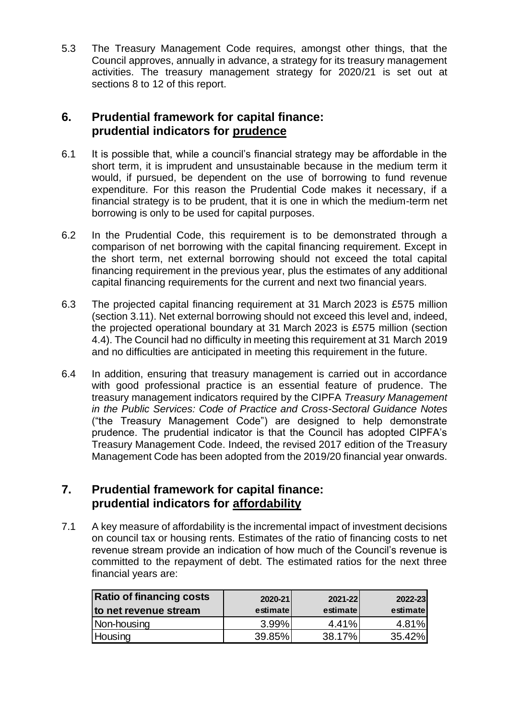5.3 The Treasury Management Code requires, amongst other things, that the Council approves, annually in advance, a strategy for its treasury management activities. The treasury management strategy for 2020/21 is set out at sections 8 to 12 of this report.

## **6. Prudential framework for capital finance: prudential indicators for prudence**

- 6.1 It is possible that, while a council's financial strategy may be affordable in the short term, it is imprudent and unsustainable because in the medium term it would, if pursued, be dependent on the use of borrowing to fund revenue expenditure. For this reason the Prudential Code makes it necessary, if a financial strategy is to be prudent, that it is one in which the medium-term net borrowing is only to be used for capital purposes.
- 6.2 In the Prudential Code, this requirement is to be demonstrated through a comparison of net borrowing with the capital financing requirement. Except in the short term, net external borrowing should not exceed the total capital financing requirement in the previous year, plus the estimates of any additional capital financing requirements for the current and next two financial years.
- 6.3 The projected capital financing requirement at 31 March 2023 is £575 million (section 3.11). Net external borrowing should not exceed this level and, indeed, the projected operational boundary at 31 March 2023 is £575 million (section 4.4). The Council had no difficulty in meeting this requirement at 31 March 2019 and no difficulties are anticipated in meeting this requirement in the future.
- 6.4 In addition, ensuring that treasury management is carried out in accordance with good professional practice is an essential feature of prudence. The treasury management indicators required by the CIPFA *Treasury Management in the Public Services: Code of Practice and Cross-Sectoral Guidance Notes* ("the Treasury Management Code") are designed to help demonstrate prudence. The prudential indicator is that the Council has adopted CIPFA's Treasury Management Code. Indeed, the revised 2017 edition of the Treasury Management Code has been adopted from the 2019/20 financial year onwards.

## **7. Prudential framework for capital finance: prudential indicators for affordability**

7.1 A key measure of affordability is the incremental impact of investment decisions on council tax or housing rents. Estimates of the ratio of financing costs to net revenue stream provide an indication of how much of the Council's revenue is committed to the repayment of debt. The estimated ratios for the next three financial years are:

| <b>Ratio of financing costs</b><br>to net revenue stream | 2020-21<br>estimate | 2021-22<br>estimate | 2022-23<br>estimatel |
|----------------------------------------------------------|---------------------|---------------------|----------------------|
| Non-housing                                              | $3.99\%$            | 4.41%               | 4.81%                |
| Housing                                                  | 39.85%              | 38.17%              | 35.42%               |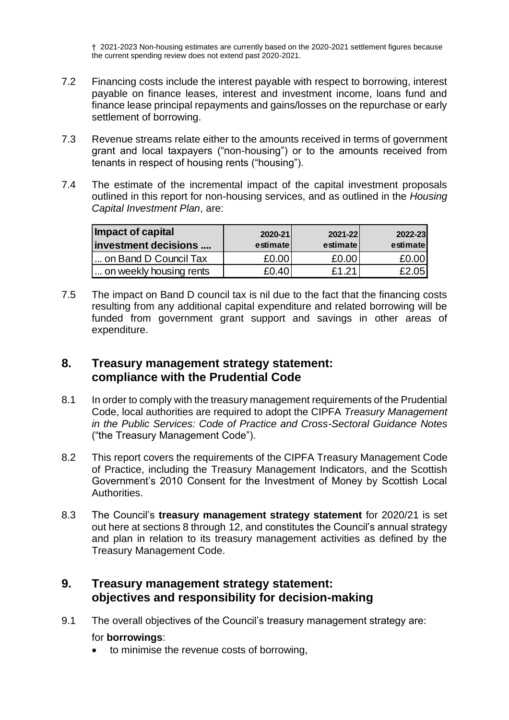† 2021-2023 Non-housing estimates are currently based on the 2020-2021 settlement figures because the current spending review does not extend past 2020-2021.

- 7.2 Financing costs include the interest payable with respect to borrowing, interest payable on finance leases, interest and investment income, loans fund and finance lease principal repayments and gains/losses on the repurchase or early settlement of borrowing.
- 7.3 Revenue streams relate either to the amounts received in terms of government grant and local taxpayers ("non-housing") or to the amounts received from tenants in respect of housing rents ("housing").
- 7.4 The estimate of the incremental impact of the capital investment proposals outlined in this report for non-housing services, and as outlined in the *Housing Capital Investment Plan*, are:

| Impact of capital<br>investment decisions | 2020-21<br>estimate | 2021-22<br>estimate | 2022-23<br>estimatel |
|-------------------------------------------|---------------------|---------------------|----------------------|
| on Band D Council Tax                     | £0.00               | £0.00               | £0.00                |
| on weekly housing rents                   | £0.40               | £1.21               | £2.05                |

7.5 The impact on Band D council tax is nil due to the fact that the financing costs resulting from any additional capital expenditure and related borrowing will be funded from government grant support and savings in other areas of expenditure.

## **8. Treasury management strategy statement: compliance with the Prudential Code**

- 8.1 In order to comply with the treasury management requirements of the Prudential Code, local authorities are required to adopt the CIPFA *Treasury Management in the Public Services: Code of Practice and Cross-Sectoral Guidance Notes* ("the Treasury Management Code").
- 8.2 This report covers the requirements of the CIPFA Treasury Management Code of Practice, including the Treasury Management Indicators, and the Scottish Government's 2010 Consent for the Investment of Money by Scottish Local Authorities.
- 8.3 The Council's **treasury management strategy statement** for 2020/21 is set out here at sections 8 through 12, and constitutes the Council's annual strategy and plan in relation to its treasury management activities as defined by the Treasury Management Code.

### **9. Treasury management strategy statement: objectives and responsibility for decision-making**

9.1 The overall objectives of the Council's treasury management strategy are:

### for **borrowings**:

• to minimise the revenue costs of borrowing,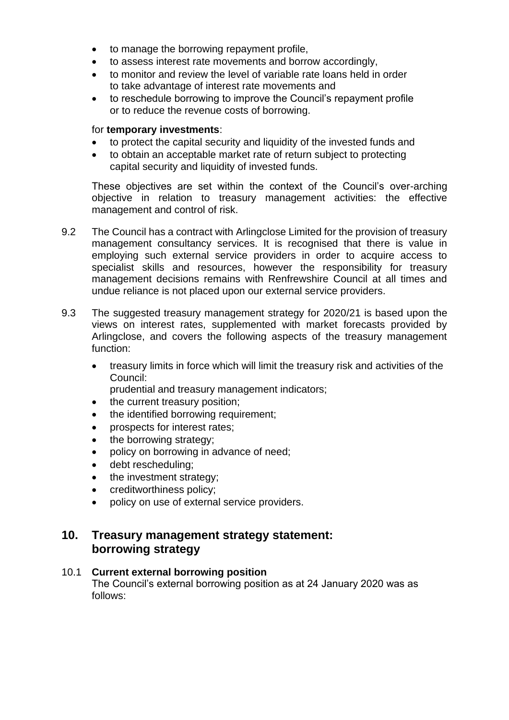- to manage the borrowing repayment profile,
- to assess interest rate movements and borrow accordingly,
- to monitor and review the level of variable rate loans held in order to take advantage of interest rate movements and
- to reschedule borrowing to improve the Council's repayment profile or to reduce the revenue costs of borrowing.

#### for **temporary investments**:

- to protect the capital security and liquidity of the invested funds and
- to obtain an acceptable market rate of return subject to protecting capital security and liquidity of invested funds.

These objectives are set within the context of the Council's over-arching objective in relation to treasury management activities: the effective management and control of risk.

- 9.2 The Council has a contract with Arlingclose Limited for the provision of treasury management consultancy services. It is recognised that there is value in employing such external service providers in order to acquire access to specialist skills and resources, however the responsibility for treasury management decisions remains with Renfrewshire Council at all times and undue reliance is not placed upon our external service providers.
- 9.3 The suggested treasury management strategy for 2020/21 is based upon the views on interest rates, supplemented with market forecasts provided by Arlingclose, and covers the following aspects of the treasury management function:
	- treasury limits in force which will limit the treasury risk and activities of the Council:
		- prudential and treasury management indicators;
	- the current treasury position;
	- the identified borrowing requirement;
	- prospects for interest rates;
	- the borrowing strategy;
	- policy on borrowing in advance of need;
	- debt rescheduling;
	- the investment strategy;
	- creditworthiness policy;
	- policy on use of external service providers.

### **10. Treasury management strategy statement: borrowing strategy**

### 10.1 **Current external borrowing position**

The Council's external borrowing position as at 24 January 2020 was as follows: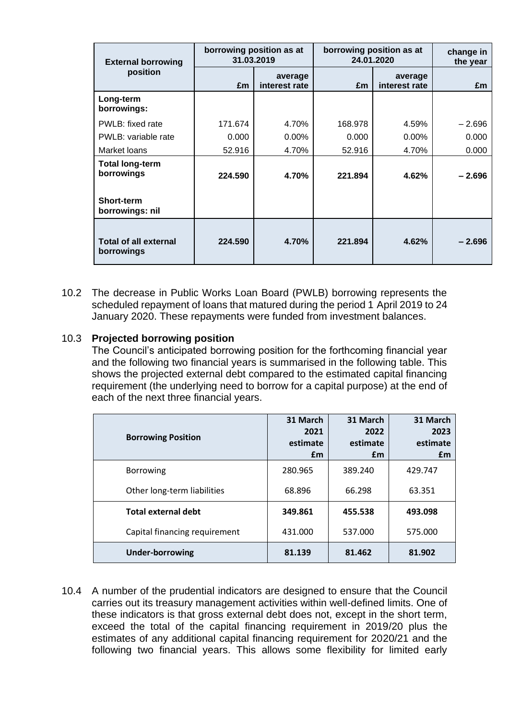| <b>External borrowing</b>                  | 31.03.2019 | borrowing position as at | borrowing position as at<br>24.01.2020 | change in<br>the year    |          |
|--------------------------------------------|------------|--------------------------|----------------------------------------|--------------------------|----------|
| position                                   | £m         | average<br>interest rate | £m                                     | average<br>interest rate | £m       |
| Long-term<br>borrowings:                   |            |                          |                                        |                          |          |
| PWLB: fixed rate                           | 171.674    | 4.70%                    | 168.978                                | 4.59%                    | $-2.696$ |
| PWLB: variable rate                        | 0.000      | $0.00\%$                 | 0.000                                  | $0.00\%$                 | 0.000    |
| Market loans                               | 52.916     | 4.70%                    | 52.916                                 | 4.70%                    | 0.000    |
| <b>Total long-term</b><br>borrowings       | 224.590    | 4.70%                    | 221.894                                | 4.62%                    | $-2.696$ |
| <b>Short-term</b><br>borrowings: nil       |            |                          |                                        |                          |          |
| <b>Total of all external</b><br>borrowings | 224.590    | 4.70%                    | 221.894                                | 4.62%                    | $-2.696$ |

10.2 The decrease in Public Works Loan Board (PWLB) borrowing represents the scheduled repayment of loans that matured during the period 1 April 2019 to 24 January 2020. These repayments were funded from investment balances.

### 10.3 **Projected borrowing position**

The Council's anticipated borrowing position for the forthcoming financial year and the following two financial years is summarised in the following table. This shows the projected external debt compared to the estimated capital financing requirement (the underlying need to borrow for a capital purpose) at the end of each of the next three financial years.

| <b>Borrowing Position</b>     | 31 March<br>2021<br>estimate<br>£m | 31 March<br>2022<br>estimate<br>£m | 31 March<br>2023<br>estimate<br>£m |
|-------------------------------|------------------------------------|------------------------------------|------------------------------------|
| <b>Borrowing</b>              | 280.965                            | 389.240                            | 429.747                            |
| Other long-term liabilities   | 68.896                             | 66.298                             | 63.351                             |
| Total external debt           | 349.861                            | 455.538                            | 493.098                            |
| Capital financing requirement | 431.000                            | 537.000                            | 575.000                            |
| <b>Under-borrowing</b>        | 81.139                             | 81.462                             | 81.902                             |

10.4 A number of the prudential indicators are designed to ensure that the Council carries out its treasury management activities within well-defined limits. One of these indicators is that gross external debt does not, except in the short term, exceed the total of the capital financing requirement in 2019/20 plus the estimates of any additional capital financing requirement for 2020/21 and the following two financial years. This allows some flexibility for limited early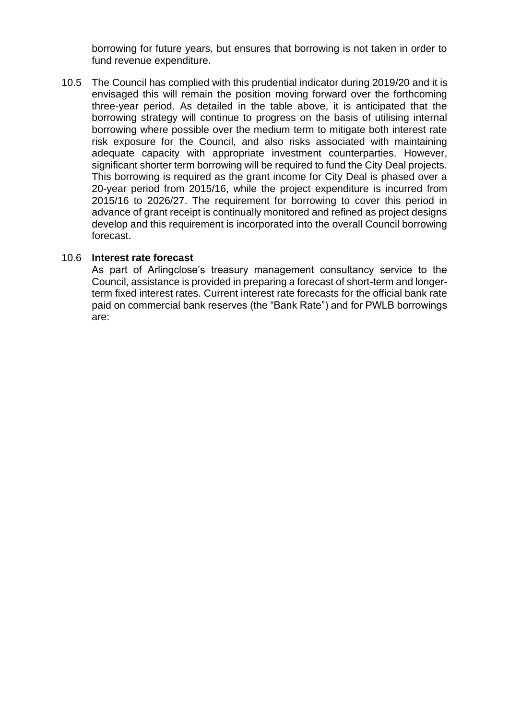borrowing for future years, but ensures that borrowing is not taken in order to fund revenue expenditure.

10.5 The Council has complied with this prudential indicator during 2019/20 and it is envisaged this will remain the position moving forward over the forthcoming three-year period. As detailed in the table above, it is anticipated that the borrowing strategy will continue to progress on the basis of utilising internal borrowing where possible over the medium term to mitigate both interest rate risk exposure for the Council, and also risks associated with maintaining adequate capacity with appropriate investment counterparties. However, significant shorter term borrowing will be required to fund the City Deal projects. This borrowing is required as the grant income for City Deal is phased over a 20-year period from 2015/16, while the project expenditure is incurred from 2015/16 to 2026/27. The requirement for borrowing to cover this period in advance of grant receipt is continually monitored and refined as project designs develop and this requirement is incorporated into the overall Council borrowing forecast.

### 10.6 **Interest rate forecast**

As part of Arlingclose's treasury management consultancy service to the Council, assistance is provided in preparing a forecast of short-term and longerterm fixed interest rates. Current interest rate forecasts for the official bank rate paid on commercial bank reserves (the "Bank Rate") and for PWLB borrowings are: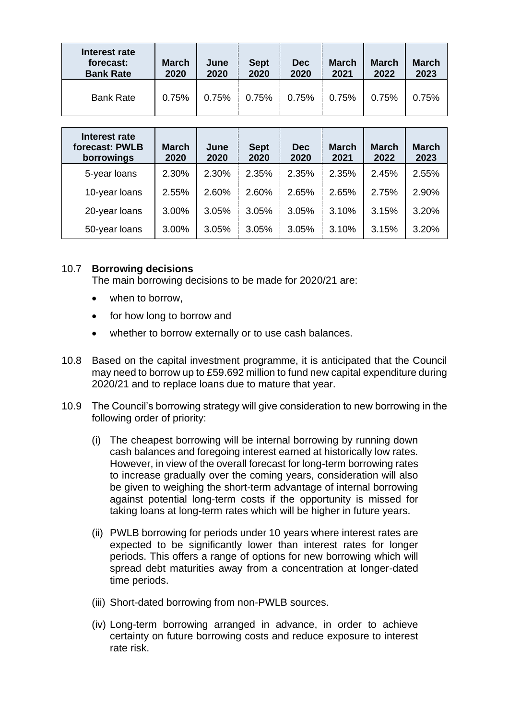| Interest rate<br>forecast:<br><b>Bank Rate</b> | <b>March</b><br>2020 | June<br>2020 | <b>Sept</b><br>2020 | <b>Dec</b><br>2020 | <b>March</b><br>2021 | <b>March</b><br>2022 | <b>March</b><br>2023 |
|------------------------------------------------|----------------------|--------------|---------------------|--------------------|----------------------|----------------------|----------------------|
| <b>Bank Rate</b>                               | 0.75%                | 0.75%        | 0.75%               | 0.75%              | 0.75%                | 0.75%                | 0.75%                |

| Interest rate<br>forecast: PWLB<br>borrowings | <b>March</b><br>2020 | June<br>2020 | <b>Sept</b><br>2020 | <b>Dec</b><br>2020 | <b>March</b><br>2021 | <b>March</b><br>2022 | <b>March</b><br>2023 |
|-----------------------------------------------|----------------------|--------------|---------------------|--------------------|----------------------|----------------------|----------------------|
| 5-year loans                                  | 2.30%                | 2.30%        | 2.35%               | 2.35%              | 2.35%                | 2.45%                | 2.55%                |
| 10-year loans                                 | 2.55%                | 2.60%        | 2.60%               | 2.65%              | 2.65%                | 2.75%                | 2.90%                |
| 20-year loans                                 | 3.00%                | 3.05%        | 3.05%               | 3.05%              | 3.10%                | 3.15%                | 3.20%                |
| 50-year loans                                 | 3.00%                | 3.05%        | 3.05%               | 3.05%              | 3.10%                | 3.15%                | 3.20%                |

### 10.7 **Borrowing decisions**

The main borrowing decisions to be made for 2020/21 are:

- when to borrow.
- for how long to borrow and
- whether to borrow externally or to use cash balances.
- 10.8 Based on the capital investment programme, it is anticipated that the Council may need to borrow up to £59.692 million to fund new capital expenditure during 2020/21 and to replace loans due to mature that year.
- 10.9 The Council's borrowing strategy will give consideration to new borrowing in the following order of priority:
	- (i) The cheapest borrowing will be internal borrowing by running down cash balances and foregoing interest earned at historically low rates. However, in view of the overall forecast for long-term borrowing rates to increase gradually over the coming years, consideration will also be given to weighing the short-term advantage of internal borrowing against potential long-term costs if the opportunity is missed for taking loans at long-term rates which will be higher in future years.
	- (ii) PWLB borrowing for periods under 10 years where interest rates are expected to be significantly lower than interest rates for longer periods. This offers a range of options for new borrowing which will spread debt maturities away from a concentration at longer-dated time periods.
	- (iii) Short-dated borrowing from non-PWLB sources.
	- (iv) Long-term borrowing arranged in advance, in order to achieve certainty on future borrowing costs and reduce exposure to interest rate risk.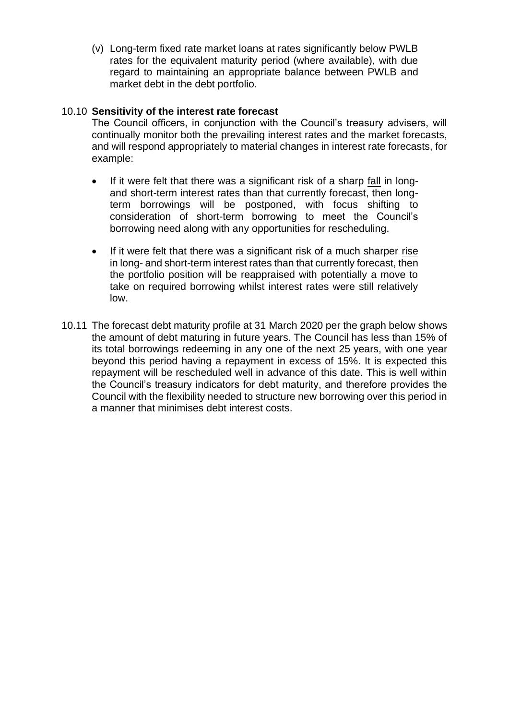(v) Long-term fixed rate market loans at rates significantly below PWLB rates for the equivalent maturity period (where available), with due regard to maintaining an appropriate balance between PWLB and market debt in the debt portfolio.

### 10.10 **Sensitivity of the interest rate forecast**

The Council officers, in conjunction with the Council's treasury advisers, will continually monitor both the prevailing interest rates and the market forecasts, and will respond appropriately to material changes in interest rate forecasts, for example:

- If it were felt that there was a significant risk of a sharp fall in longand short-term interest rates than that currently forecast, then longterm borrowings will be postponed, with focus shifting to consideration of short-term borrowing to meet the Council's borrowing need along with any opportunities for rescheduling.
- If it were felt that there was a significant risk of a much sharper rise in long- and short-term interest rates than that currently forecast, then the portfolio position will be reappraised with potentially a move to take on required borrowing whilst interest rates were still relatively low.
- 10.11 The forecast debt maturity profile at 31 March 2020 per the graph below shows the amount of debt maturing in future years. The Council has less than 15% of its total borrowings redeeming in any one of the next 25 years, with one year beyond this period having a repayment in excess of 15%. It is expected this repayment will be rescheduled well in advance of this date. This is well within the Council's treasury indicators for debt maturity, and therefore provides the Council with the flexibility needed to structure new borrowing over this period in a manner that minimises debt interest costs.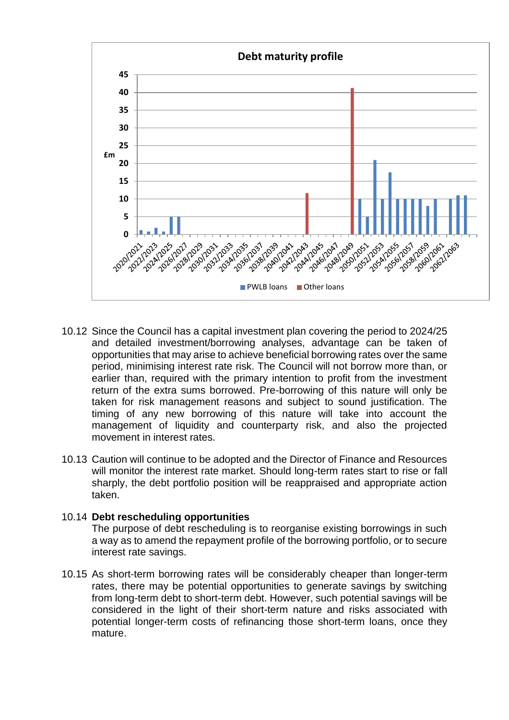

- 10.12 Since the Council has a capital investment plan covering the period to 2024/25 and detailed investment/borrowing analyses, advantage can be taken of opportunities that may arise to achieve beneficial borrowing rates over the same period, minimising interest rate risk. The Council will not borrow more than, or earlier than, required with the primary intention to profit from the investment return of the extra sums borrowed. Pre-borrowing of this nature will only be taken for risk management reasons and subject to sound justification. The timing of any new borrowing of this nature will take into account the management of liquidity and counterparty risk, and also the projected movement in interest rates
- 10.13 Caution will continue to be adopted and the Director of Finance and Resources will monitor the interest rate market. Should long-term rates start to rise or fall sharply, the debt portfolio position will be reappraised and appropriate action taken.

#### 10.14 **Debt rescheduling opportunities**

The purpose of debt rescheduling is to reorganise existing borrowings in such a way as to amend the repayment profile of the borrowing portfolio, or to secure interest rate savings.

10.15 As short-term borrowing rates will be considerably cheaper than longer-term rates, there may be potential opportunities to generate savings by switching from long-term debt to short-term debt. However, such potential savings will be considered in the light of their short-term nature and risks associated with potential longer-term costs of refinancing those short-term loans, once they mature.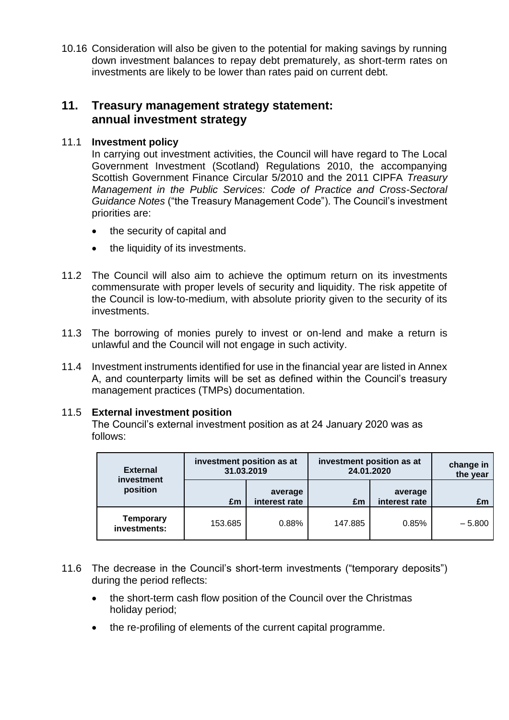10.16 Consideration will also be given to the potential for making savings by running down investment balances to repay debt prematurely, as short-term rates on investments are likely to be lower than rates paid on current debt.

### **11. Treasury management strategy statement: annual investment strategy**

### 11.1 **Investment policy**

In carrying out investment activities, the Council will have regard to The Local Government Investment (Scotland) Regulations 2010, the accompanying Scottish Government Finance Circular 5/2010 and the 2011 CIPFA *Treasury Management in the Public Services: Code of Practice and Cross-Sectoral Guidance Notes* ("the Treasury Management Code"). The Council's investment priorities are:

- the security of capital and
- the liquidity of its investments.
- 11.2 The Council will also aim to achieve the optimum return on its investments commensurate with proper levels of security and liquidity. The risk appetite of the Council is low-to-medium, with absolute priority given to the security of its investments.
- 11.3 The borrowing of monies purely to invest or on-lend and make a return is unlawful and the Council will not engage in such activity.
- 11.4 Investment instruments identified for use in the financial year are listed in Annex A, and counterparty limits will be set as defined within the Council's treasury management practices (TMPs) documentation.

### 11.5 **External investment position**

The Council's external investment position as at 24 January 2020 was as follows:

| <b>External</b><br>investment    |         | investment position as at<br>31.03.2019 | investment position as at<br>24.01.2020 |                          | change in<br>the year |
|----------------------------------|---------|-----------------------------------------|-----------------------------------------|--------------------------|-----------------------|
| position                         | £m      | average<br>interest rate                | £m                                      | average<br>interest rate | £m                    |
| <b>Temporary</b><br>investments: | 153.685 | 0.88%                                   | 147.885                                 | 0.85%                    | $-5.800$              |

- 11.6 The decrease in the Council's short-term investments ("temporary deposits") during the period reflects:
	- the short-term cash flow position of the Council over the Christmas holiday period;
	- the re-profiling of elements of the current capital programme.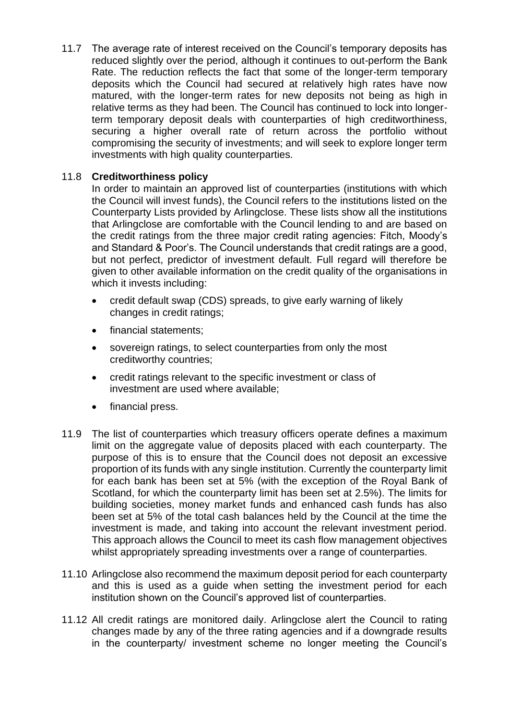11.7 The average rate of interest received on the Council's temporary deposits has reduced slightly over the period, although it continues to out-perform the Bank Rate. The reduction reflects the fact that some of the longer-term temporary deposits which the Council had secured at relatively high rates have now matured, with the longer-term rates for new deposits not being as high in relative terms as they had been. The Council has continued to lock into longerterm temporary deposit deals with counterparties of high creditworthiness, securing a higher overall rate of return across the portfolio without compromising the security of investments; and will seek to explore longer term investments with high quality counterparties.

### 11.8 **Creditworthiness policy**

In order to maintain an approved list of counterparties (institutions with which the Council will invest funds), the Council refers to the institutions listed on the Counterparty Lists provided by Arlingclose. These lists show all the institutions that Arlingclose are comfortable with the Council lending to and are based on the credit ratings from the three major credit rating agencies: Fitch, Moody's and Standard & Poor's. The Council understands that credit ratings are a good, but not perfect, predictor of investment default. Full regard will therefore be given to other available information on the credit quality of the organisations in which it invests including:

- credit default swap (CDS) spreads, to give early warning of likely changes in credit ratings;
- financial statements:
- sovereign ratings, to select counterparties from only the most creditworthy countries;
- credit ratings relevant to the specific investment or class of investment are used where available;
- financial press.
- 11.9 The list of counterparties which treasury officers operate defines a maximum limit on the aggregate value of deposits placed with each counterparty. The purpose of this is to ensure that the Council does not deposit an excessive proportion of its funds with any single institution. Currently the counterparty limit for each bank has been set at 5% (with the exception of the Royal Bank of Scotland, for which the counterparty limit has been set at 2.5%). The limits for building societies, money market funds and enhanced cash funds has also been set at 5% of the total cash balances held by the Council at the time the investment is made, and taking into account the relevant investment period. This approach allows the Council to meet its cash flow management objectives whilst appropriately spreading investments over a range of counterparties.
- 11.10 Arlingclose also recommend the maximum deposit period for each counterparty and this is used as a guide when setting the investment period for each institution shown on the Council's approved list of counterparties.
- 11.12 All credit ratings are monitored daily. Arlingclose alert the Council to rating changes made by any of the three rating agencies and if a downgrade results in the counterparty/ investment scheme no longer meeting the Council's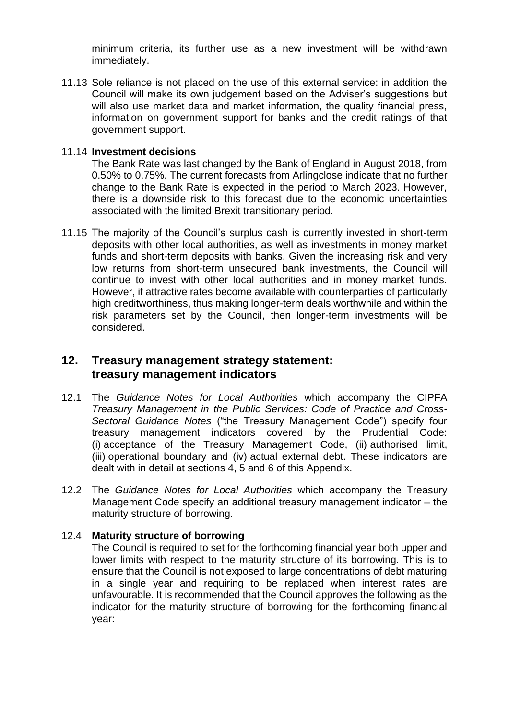minimum criteria, its further use as a new investment will be withdrawn immediately.

11.13 Sole reliance is not placed on the use of this external service: in addition the Council will make its own judgement based on the Adviser's suggestions but will also use market data and market information, the quality financial press, information on government support for banks and the credit ratings of that government support.

### 11.14 **Investment decisions**

The Bank Rate was last changed by the Bank of England in August 2018, from 0.50% to 0.75%. The current forecasts from Arlingclose indicate that no further change to the Bank Rate is expected in the period to March 2023. However, there is a downside risk to this forecast due to the economic uncertainties associated with the limited Brexit transitionary period.

11.15 The majority of the Council's surplus cash is currently invested in short-term deposits with other local authorities, as well as investments in money market funds and short-term deposits with banks. Given the increasing risk and very low returns from short-term unsecured bank investments, the Council will continue to invest with other local authorities and in money market funds. However, if attractive rates become available with counterparties of particularly high creditworthiness, thus making longer-term deals worthwhile and within the risk parameters set by the Council, then longer-term investments will be considered.

### **12. Treasury management strategy statement: treasury management indicators**

- 12.1 The *Guidance Notes for Local Authorities* which accompany the CIPFA *Treasury Management in the Public Services: Code of Practice and Cross-Sectoral Guidance Notes* ("the Treasury Management Code") specify four treasury management indicators covered by the Prudential Code: (i) acceptance of the Treasury Management Code, (ii) authorised limit, (iii) operational boundary and (iv) actual external debt. These indicators are dealt with in detail at sections 4, 5 and 6 of this Appendix.
- 12.2 The *Guidance Notes for Local Authorities* which accompany the Treasury Management Code specify an additional treasury management indicator – the maturity structure of borrowing.

### 12.4 **Maturity structure of borrowing**

The Council is required to set for the forthcoming financial year both upper and lower limits with respect to the maturity structure of its borrowing. This is to ensure that the Council is not exposed to large concentrations of debt maturing in a single year and requiring to be replaced when interest rates are unfavourable. It is recommended that the Council approves the following as the indicator for the maturity structure of borrowing for the forthcoming financial year: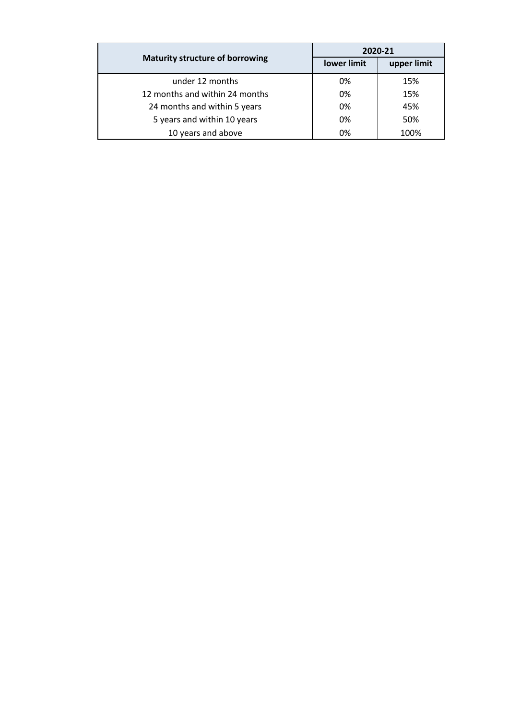|                                        | 2020-21     |             |  |
|----------------------------------------|-------------|-------------|--|
| <b>Maturity structure of borrowing</b> | lower limit | upper limit |  |
| under 12 months                        | 0%          | 15%         |  |
| 12 months and within 24 months         | 0%          | 15%         |  |
| 24 months and within 5 years           | 0%          | 45%         |  |
| 5 years and within 10 years            | 0%          | 50%         |  |
| 10 years and above                     | 0%          | 100%        |  |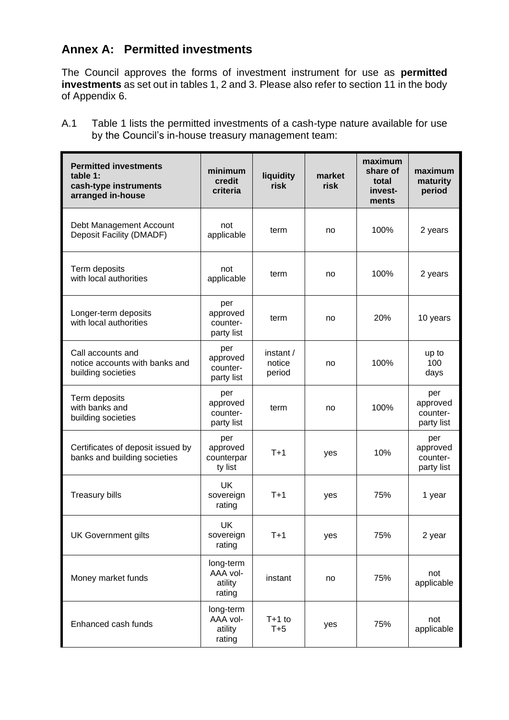# **Annex A: Permitted investments**

The Council approves the forms of investment instrument for use as **permitted investments** as set out in tables 1, 2 and 3. Please also refer to section 11 in the body of Appendix 6.

A.1 Table 1 lists the permitted investments of a cash-type nature available for use by the Council's in-house treasury management team:

| <b>Permitted investments</b><br>table 1:<br>cash-type instruments<br>arranged in-house | minimum<br>credit<br>criteria              | liquidity<br>risk             | market<br>risk | maximum<br>share of<br>total<br>invest-<br>ments | maximum<br>maturity<br>period             |
|----------------------------------------------------------------------------------------|--------------------------------------------|-------------------------------|----------------|--------------------------------------------------|-------------------------------------------|
| Debt Management Account<br>Deposit Facility (DMADF)                                    | not<br>applicable                          | term                          | no             | 100%                                             | 2 years                                   |
| Term deposits<br>with local authorities                                                | not<br>applicable                          | term                          | no             | 100%                                             | 2 years                                   |
| Longer-term deposits<br>with local authorities                                         | per<br>approved<br>counter-<br>party list  | term                          | no             | 20%                                              | 10 years                                  |
| Call accounts and<br>notice accounts with banks and<br>building societies              | per<br>approved<br>counter-<br>party list  | instant /<br>notice<br>period | no             | 100%                                             | up to<br>100<br>days                      |
| Term deposits<br>with banks and<br>building societies                                  | per<br>approved<br>counter-<br>party list  | term                          | no             | 100%                                             | per<br>approved<br>counter-<br>party list |
| Certificates of deposit issued by<br>banks and building societies                      | per<br>approved<br>counterpar<br>ty list   | $T+1$                         | yes            | 10%                                              | per<br>approved<br>counter-<br>party list |
| <b>Treasury bills</b>                                                                  | UK<br>sovereign<br>rating                  | $T+1$                         | yes            | 75%                                              | 1 year                                    |
| <b>UK Government gilts</b>                                                             | UK<br>sovereign<br>rating                  | $T+1$                         | yes            | 75%                                              | 2 year                                    |
| Money market funds                                                                     | long-term<br>AAA vol-<br>atility<br>rating | instant                       | no             | 75%                                              | not<br>applicable                         |
| Enhanced cash funds                                                                    | long-term<br>AAA vol-<br>atility<br>rating | $T+1$ to<br>$T+5$             | yes            | 75%                                              | not<br>applicable                         |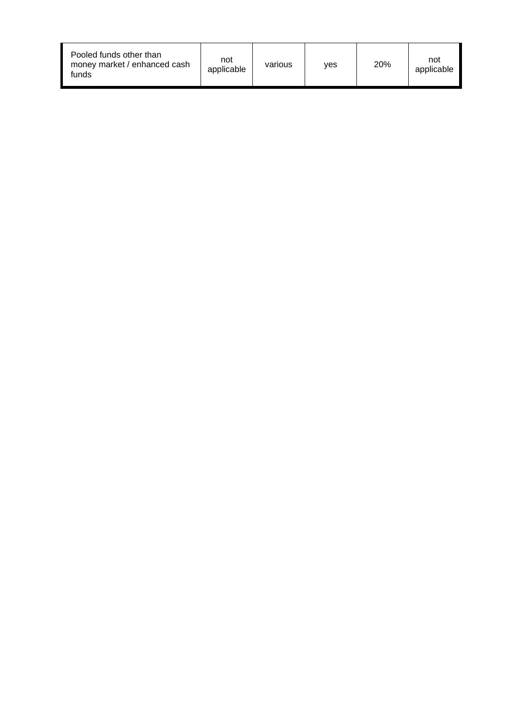| Pooled funds other than<br>money market / enhanced cash<br>funds | not<br>applicable | various | ves | 20% | not<br>applicable |
|------------------------------------------------------------------|-------------------|---------|-----|-----|-------------------|
|------------------------------------------------------------------|-------------------|---------|-----|-----|-------------------|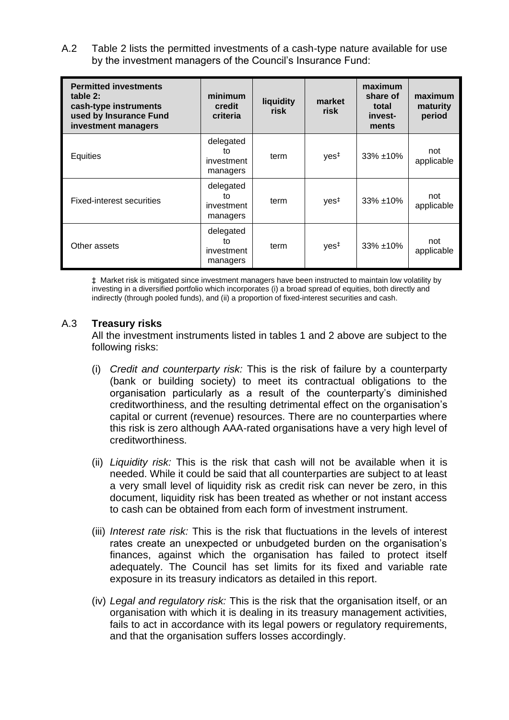A.2 Table 2 lists the permitted investments of a cash-type nature available for use by the investment managers of the Council's Insurance Fund:

| <b>Permitted investments</b><br>table 2:<br>cash-type instruments<br>used by Insurance Fund<br>investment managers | minimum<br>credit<br>criteria             | liquidity<br>risk | market<br>risk   | maximum<br>share of<br>total<br>invest-<br>ments | maximum<br>maturity<br>period |
|--------------------------------------------------------------------------------------------------------------------|-------------------------------------------|-------------------|------------------|--------------------------------------------------|-------------------------------|
| Equities                                                                                                           | delegated<br>tο<br>investment<br>managers | term              | yes <sup>‡</sup> | $33\% + 10\%$                                    | not<br>applicable             |
| <b>Fixed-interest securities</b>                                                                                   | delegated<br>tο<br>investment<br>managers | term              | yes <sup>‡</sup> | $33\% + 10\%$                                    | not<br>applicable             |
| Other assets                                                                                                       | delegated<br>to<br>investment<br>managers | term              | yes <sup>‡</sup> | $33\% + 10\%$                                    | not<br>applicable             |

‡ Market risk is mitigated since investment managers have been instructed to maintain low volatility by investing in a diversified portfolio which incorporates (i) a broad spread of equities, both directly and indirectly (through pooled funds), and (ii) a proportion of fixed-interest securities and cash.

### A.3 **Treasury risks**

All the investment instruments listed in tables 1 and 2 above are subject to the following risks:

- (i) *Credit and counterparty risk:* This is the risk of failure by a counterparty (bank or building society) to meet its contractual obligations to the organisation particularly as a result of the counterparty's diminished creditworthiness, and the resulting detrimental effect on the organisation's capital or current (revenue) resources. There are no counterparties where this risk is zero although AAA-rated organisations have a very high level of creditworthiness.
- (ii) *Liquidity risk:* This is the risk that cash will not be available when it is needed. While it could be said that all counterparties are subject to at least a very small level of liquidity risk as credit risk can never be zero, in this document, liquidity risk has been treated as whether or not instant access to cash can be obtained from each form of investment instrument.
- (iii) *Interest rate risk:* This is the risk that fluctuations in the levels of interest rates create an unexpected or unbudgeted burden on the organisation's finances, against which the organisation has failed to protect itself adequately. The Council has set limits for its fixed and variable rate exposure in its treasury indicators as detailed in this report.
- (iv) *Legal and regulatory risk:* This is the risk that the organisation itself, or an organisation with which it is dealing in its treasury management activities, fails to act in accordance with its legal powers or regulatory requirements, and that the organisation suffers losses accordingly.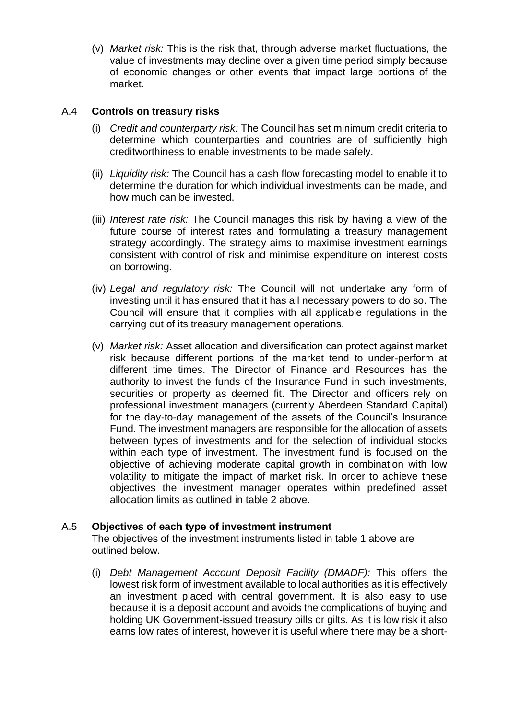(v) *Market risk:* This is the risk that, through adverse market fluctuations, the value of investments may decline over a given time period simply because of economic changes or other events that impact large portions of the market.

### A.4 **Controls on treasury risks**

- (i) *Credit and counterparty risk:* The Council has set minimum credit criteria to determine which counterparties and countries are of sufficiently high creditworthiness to enable investments to be made safely.
- (ii) *Liquidity risk:* The Council has a cash flow forecasting model to enable it to determine the duration for which individual investments can be made, and how much can be invested.
- (iii) *Interest rate risk:* The Council manages this risk by having a view of the future course of interest rates and formulating a treasury management strategy accordingly. The strategy aims to maximise investment earnings consistent with control of risk and minimise expenditure on interest costs on borrowing.
- (iv) *Legal and regulatory risk:* The Council will not undertake any form of investing until it has ensured that it has all necessary powers to do so. The Council will ensure that it complies with all applicable regulations in the carrying out of its treasury management operations.
- (v) *Market risk:* Asset allocation and diversification can protect against market risk because different portions of the market tend to under-perform at different time times. The Director of Finance and Resources has the authority to invest the funds of the Insurance Fund in such investments, securities or property as deemed fit. The Director and officers rely on professional investment managers (currently Aberdeen Standard Capital) for the day-to-day management of the assets of the Council's Insurance Fund. The investment managers are responsible for the allocation of assets between types of investments and for the selection of individual stocks within each type of investment. The investment fund is focused on the objective of achieving moderate capital growth in combination with low volatility to mitigate the impact of market risk. In order to achieve these objectives the investment manager operates within predefined asset allocation limits as outlined in table 2 above.

### A.5 **Objectives of each type of investment instrument**

The objectives of the investment instruments listed in table 1 above are outlined below.

(i) *Debt Management Account Deposit Facility (DMADF):* This offers the lowest risk form of investment available to local authorities as it is effectively an investment placed with central government. It is also easy to use because it is a deposit account and avoids the complications of buying and holding UK Government-issued treasury bills or gilts. As it is low risk it also earns low rates of interest, however it is useful where there may be a short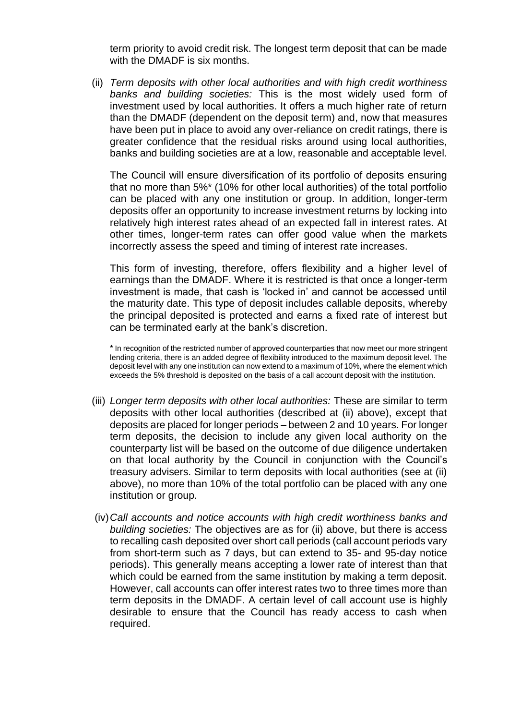term priority to avoid credit risk. The longest term deposit that can be made with the DMADF is six months.

(ii) *Term deposits with other local authorities and with high credit worthiness banks and building societies:* This is the most widely used form of investment used by local authorities. It offers a much higher rate of return than the DMADF (dependent on the deposit term) and, now that measures have been put in place to avoid any over-reliance on credit ratings, there is greater confidence that the residual risks around using local authorities, banks and building societies are at a low, reasonable and acceptable level.

The Council will ensure diversification of its portfolio of deposits ensuring that no more than 5%\* (10% for other local authorities) of the total portfolio can be placed with any one institution or group. In addition, longer-term deposits offer an opportunity to increase investment returns by locking into relatively high interest rates ahead of an expected fall in interest rates. At other times, longer-term rates can offer good value when the markets incorrectly assess the speed and timing of interest rate increases.

This form of investing, therefore, offers flexibility and a higher level of earnings than the DMADF. Where it is restricted is that once a longer-term investment is made, that cash is 'locked in' and cannot be accessed until the maturity date. This type of deposit includes callable deposits, whereby the principal deposited is protected and earns a fixed rate of interest but can be terminated early at the bank's discretion.

\* In recognition of the restricted number of approved counterparties that now meet our more stringent lending criteria, there is an added degree of flexibility introduced to the maximum deposit level. The deposit level with any one institution can now extend to a maximum of 10%, where the element which exceeds the 5% threshold is deposited on the basis of a call account deposit with the institution.

- (iii) *Longer term deposits with other local authorities:* These are similar to term deposits with other local authorities (described at (ii) above), except that deposits are placed for longer periods – between 2 and 10 years. For longer term deposits, the decision to include any given local authority on the counterparty list will be based on the outcome of due diligence undertaken on that local authority by the Council in conjunction with the Council's treasury advisers. Similar to term deposits with local authorities (see at (ii) above), no more than 10% of the total portfolio can be placed with any one institution or group.
- (iv)*Call accounts and notice accounts with high credit worthiness banks and building societies:* The objectives are as for (ii) above, but there is access to recalling cash deposited over short call periods (call account periods vary from short-term such as 7 days, but can extend to 35- and 95-day notice periods). This generally means accepting a lower rate of interest than that which could be earned from the same institution by making a term deposit. However, call accounts can offer interest rates two to three times more than term deposits in the DMADF. A certain level of call account use is highly desirable to ensure that the Council has ready access to cash when required.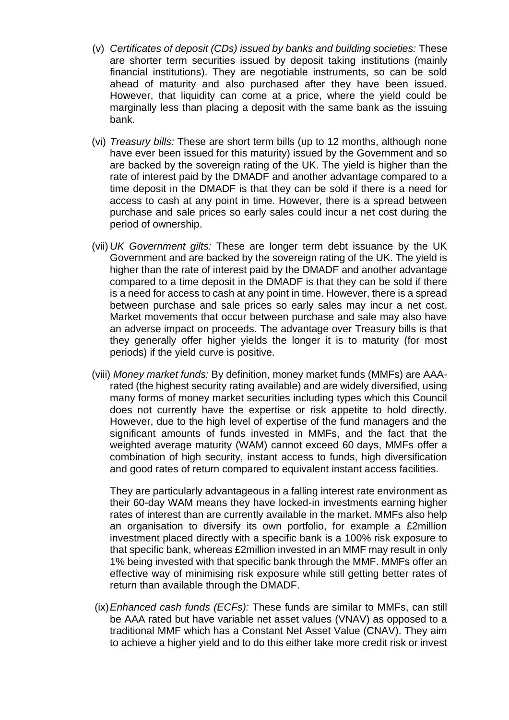- (v) *Certificates of deposit (CDs) issued by banks and building societies:* These are shorter term securities issued by deposit taking institutions (mainly financial institutions). They are negotiable instruments, so can be sold ahead of maturity and also purchased after they have been issued. However, that liquidity can come at a price, where the yield could be marginally less than placing a deposit with the same bank as the issuing bank.
- (vi) *Treasury bills:* These are short term bills (up to 12 months, although none have ever been issued for this maturity) issued by the Government and so are backed by the sovereign rating of the UK. The yield is higher than the rate of interest paid by the DMADF and another advantage compared to a time deposit in the DMADF is that they can be sold if there is a need for access to cash at any point in time. However, there is a spread between purchase and sale prices so early sales could incur a net cost during the period of ownership.
- (vii) *UK Government gilts:* These are longer term debt issuance by the UK Government and are backed by the sovereign rating of the UK. The yield is higher than the rate of interest paid by the DMADF and another advantage compared to a time deposit in the DMADF is that they can be sold if there is a need for access to cash at any point in time. However, there is a spread between purchase and sale prices so early sales may incur a net cost. Market movements that occur between purchase and sale may also have an adverse impact on proceeds. The advantage over Treasury bills is that they generally offer higher yields the longer it is to maturity (for most periods) if the yield curve is positive.
- (viii) *Money market funds:* By definition, money market funds (MMFs) are AAArated (the highest security rating available) and are widely diversified, using many forms of money market securities including types which this Council does not currently have the expertise or risk appetite to hold directly. However, due to the high level of expertise of the fund managers and the significant amounts of funds invested in MMFs, and the fact that the weighted average maturity (WAM) cannot exceed 60 days, MMFs offer a combination of high security, instant access to funds, high diversification and good rates of return compared to equivalent instant access facilities.

They are particularly advantageous in a falling interest rate environment as their 60-day WAM means they have locked-in investments earning higher rates of interest than are currently available in the market. MMFs also help an organisation to diversify its own portfolio, for example a £2million investment placed directly with a specific bank is a 100% risk exposure to that specific bank, whereas £2million invested in an MMF may result in only 1% being invested with that specific bank through the MMF. MMFs offer an effective way of minimising risk exposure while still getting better rates of return than available through the DMADF.

(ix)*Enhanced cash funds (ECFs):* These funds are similar to MMFs, can still be AAA rated but have variable net asset values (VNAV) as opposed to a traditional MMF which has a Constant Net Asset Value (CNAV). They aim to achieve a higher yield and to do this either take more credit risk or invest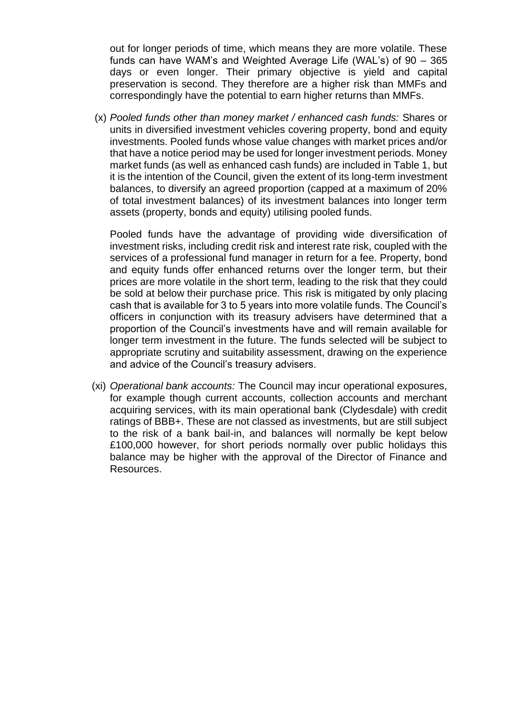out for longer periods of time, which means they are more volatile. These funds can have WAM's and Weighted Average Life (WAL's) of 90 – 365 days or even longer. Their primary objective is yield and capital preservation is second. They therefore are a higher risk than MMFs and correspondingly have the potential to earn higher returns than MMFs.

(x) *Pooled funds other than money market / enhanced cash funds:* Shares or units in diversified investment vehicles covering property, bond and equity investments. Pooled funds whose value changes with market prices and/or that have a notice period may be used for longer investment periods. Money market funds (as well as enhanced cash funds) are included in Table 1, but it is the intention of the Council, given the extent of its long-term investment balances, to diversify an agreed proportion (capped at a maximum of 20% of total investment balances) of its investment balances into longer term assets (property, bonds and equity) utilising pooled funds.

Pooled funds have the advantage of providing wide diversification of investment risks, including credit risk and interest rate risk, coupled with the services of a professional fund manager in return for a fee. Property, bond and equity funds offer enhanced returns over the longer term, but their prices are more volatile in the short term, leading to the risk that they could be sold at below their purchase price. This risk is mitigated by only placing cash that is available for 3 to 5 years into more volatile funds. The Council's officers in conjunction with its treasury advisers have determined that a proportion of the Council's investments have and will remain available for longer term investment in the future. The funds selected will be subject to appropriate scrutiny and suitability assessment, drawing on the experience and advice of the Council's treasury advisers.

(xi) *Operational bank accounts:* The Council may incur operational exposures, for example though current accounts, collection accounts and merchant acquiring services, with its main operational bank (Clydesdale) with credit ratings of BBB+. These are not classed as investments, but are still subject to the risk of a bank bail-in, and balances will normally be kept below £100,000 however, for short periods normally over public holidays this balance may be higher with the approval of the Director of Finance and Resources.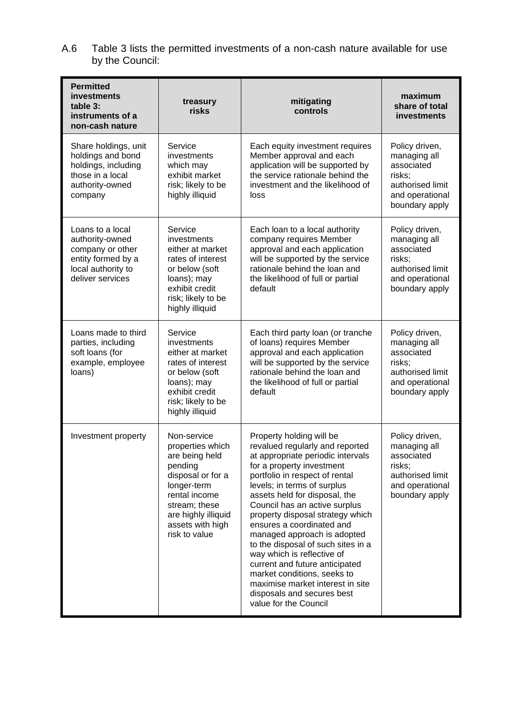A.6 Table 3 lists the permitted investments of a non-cash nature available for use by the Council:

| <b>Permitted</b><br>investments<br>table 3:<br>instruments of a<br>non-cash nature                                      | treasury<br>risks                                                                                                                                                                              | mitigating<br>controls                                                                                                                                                                                                                                                                                                                                                                                                                                                                                                                                                                           | maximum<br>share of total<br>investments                                                                        |
|-------------------------------------------------------------------------------------------------------------------------|------------------------------------------------------------------------------------------------------------------------------------------------------------------------------------------------|--------------------------------------------------------------------------------------------------------------------------------------------------------------------------------------------------------------------------------------------------------------------------------------------------------------------------------------------------------------------------------------------------------------------------------------------------------------------------------------------------------------------------------------------------------------------------------------------------|-----------------------------------------------------------------------------------------------------------------|
| Share holdings, unit<br>holdings and bond<br>holdings, including<br>those in a local<br>authority-owned<br>company      | Service<br>investments<br>which may<br>exhibit market<br>risk; likely to be<br>highly illiquid                                                                                                 | Each equity investment requires<br>Member approval and each<br>application will be supported by<br>the service rationale behind the<br>investment and the likelihood of<br>loss                                                                                                                                                                                                                                                                                                                                                                                                                  | Policy driven,<br>managing all<br>associated<br>risks;<br>authorised limit<br>and operational<br>boundary apply |
| Loans to a local<br>authority-owned<br>company or other<br>entity formed by a<br>local authority to<br>deliver services | Service<br>investments<br>either at market<br>rates of interest<br>or below (soft<br>loans); may<br>exhibit credit<br>risk; likely to be<br>highly illiquid                                    | Each loan to a local authority<br>company requires Member<br>approval and each application<br>will be supported by the service<br>rationale behind the loan and<br>the likelihood of full or partial<br>default                                                                                                                                                                                                                                                                                                                                                                                  | Policy driven,<br>managing all<br>associated<br>risks;<br>authorised limit<br>and operational<br>boundary apply |
| Loans made to third<br>parties, including<br>soft loans (for<br>example, employee<br>loans)                             | Service<br>investments<br>either at market<br>rates of interest<br>or below (soft<br>loans); may<br>exhibit credit<br>risk; likely to be<br>highly illiquid                                    | Each third party loan (or tranche<br>of loans) requires Member<br>approval and each application<br>will be supported by the service<br>rationale behind the loan and<br>the likelihood of full or partial<br>default                                                                                                                                                                                                                                                                                                                                                                             | Policy driven,<br>managing all<br>associated<br>risks:<br>authorised limit<br>and operational<br>boundary apply |
| Investment property                                                                                                     | Non-service<br>properties which<br>are being held<br>pending<br>disposal or for a<br>longer-term<br>rental income<br>stream; these<br>are highly illiquid<br>assets with high<br>risk to value | Property holding will be<br>revalued regularly and reported<br>at appropriate periodic intervals<br>for a property investment<br>portfolio in respect of rental<br>levels; in terms of surplus<br>assets held for disposal, the<br>Council has an active surplus<br>property disposal strategy which<br>ensures a coordinated and<br>managed approach is adopted<br>to the disposal of such sites in a<br>way which is reflective of<br>current and future anticipated<br>market conditions, seeks to<br>maximise market interest in site<br>disposals and secures best<br>value for the Council | Policy driven,<br>managing all<br>associated<br>risks;<br>authorised limit<br>and operational<br>boundary apply |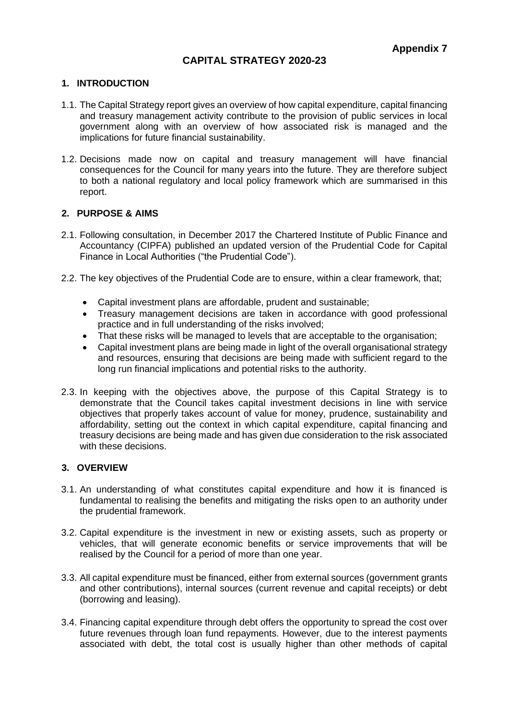### **CAPITAL STRATEGY 2020-23**

#### **1. INTRODUCTION**

- 1.1. The Capital Strategy report gives an overview of how capital expenditure, capital financing and treasury management activity contribute to the provision of public services in local government along with an overview of how associated risk is managed and the implications for future financial sustainability.
- 1.2. Decisions made now on capital and treasury management will have financial consequences for the Council for many years into the future. They are therefore subject to both a national regulatory and local policy framework which are summarised in this report.

#### **2. PURPOSE & AIMS**

- 2.1. Following consultation, in December 2017 the Chartered Institute of Public Finance and Accountancy (CIPFA) published an updated version of the Prudential Code for Capital Finance in Local Authorities ("the Prudential Code").
- 2.2. The key objectives of the Prudential Code are to ensure, within a clear framework, that;
	- Capital investment plans are affordable, prudent and sustainable;
	- Treasury management decisions are taken in accordance with good professional practice and in full understanding of the risks involved;
	- That these risks will be managed to levels that are acceptable to the organisation;
	- Capital investment plans are being made in light of the overall organisational strategy and resources, ensuring that decisions are being made with sufficient regard to the long run financial implications and potential risks to the authority.
- 2.3. In keeping with the objectives above, the purpose of this Capital Strategy is to demonstrate that the Council takes capital investment decisions in line with service objectives that properly takes account of value for money, prudence, sustainability and affordability, setting out the context in which capital expenditure, capital financing and treasury decisions are being made and has given due consideration to the risk associated with these decisions.

#### **3. OVERVIEW**

- 3.1. An understanding of what constitutes capital expenditure and how it is financed is fundamental to realising the benefits and mitigating the risks open to an authority under the prudential framework.
- 3.2. Capital expenditure is the investment in new or existing assets, such as property or vehicles, that will generate economic benefits or service improvements that will be realised by the Council for a period of more than one year.
- 3.3. All capital expenditure must be financed, either from external sources (government grants and other contributions), internal sources (current revenue and capital receipts) or debt (borrowing and leasing).
- 3.4. Financing capital expenditure through debt offers the opportunity to spread the cost over future revenues through loan fund repayments. However, due to the interest payments associated with debt, the total cost is usually higher than other methods of capital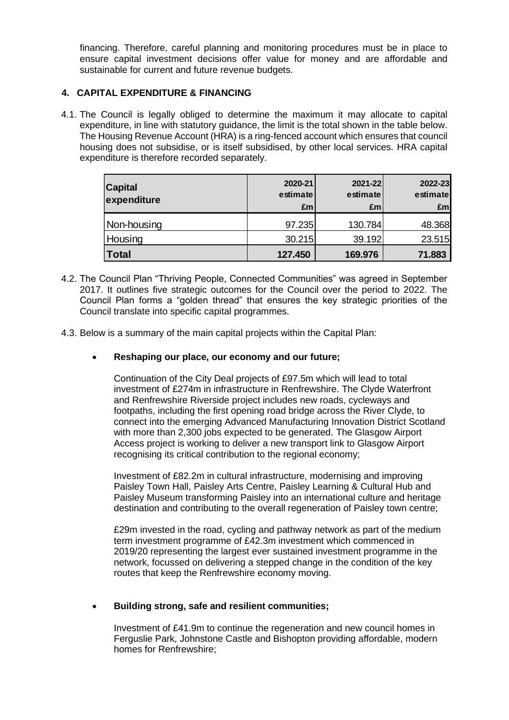financing. Therefore, careful planning and monitoring procedures must be in place to ensure capital investment decisions offer value for money and are affordable and sustainable for current and future revenue budgets.

#### **4. CAPITAL EXPENDITURE & FINANCING**

4.1. The Council is legally obliged to determine the maximum it may allocate to capital expenditure, in line with statutory guidance, the limit is the total shown in the table below. The Housing Revenue Account (HRA) is a ring-fenced account which ensures that council housing does not subsidise, or is itself subsidised, by other local services. HRA capital expenditure is therefore recorded separately.

| <b>Capital</b><br>expenditure | 2020-21<br>estimate<br>£m | 2021-22<br>estimate<br>£m | 2022-23<br>estimate<br>£ml |
|-------------------------------|---------------------------|---------------------------|----------------------------|
| Non-housing                   | 97.235                    | 130.784                   | 48.368                     |
| Housing                       | 30.215                    | 39.192                    | 23.515                     |
| <b>Total</b>                  | 127.450                   | 169.976                   | 71.883                     |

- 4.2. The Council Plan "Thriving People, Connected Communities" was agreed in September 2017. It outlines five strategic outcomes for the Council over the period to 2022. The Council Plan forms a "golden thread" that ensures the key strategic priorities of the Council translate into specific capital programmes.
- 4.3. Below is a summary of the main capital projects within the Capital Plan:
	- **Reshaping our place, our economy and our future;**

Continuation of the City Deal projects of £97.5m which will lead to total investment of £274m in infrastructure in Renfrewshire. The Clyde Waterfront and Renfrewshire Riverside project includes new roads, cycleways and footpaths, including the first opening road bridge across the River Clyde, to connect into the emerging Advanced Manufacturing Innovation District Scotland with more than 2,300 jobs expected to be generated. The Glasgow Airport Access project is working to deliver a new transport link to Glasgow Airport recognising its critical contribution to the regional economy;

Investment of £82.2m in cultural infrastructure, modernising and improving Paisley Town Hall, Paisley Arts Centre, Paisley Learning & Cultural Hub and Paisley Museum transforming Paisley into an international culture and heritage destination and contributing to the overall regeneration of Paisley town centre;

£29m invested in the road, cycling and pathway network as part of the medium term investment programme of £42.3m investment which commenced in 2019/20 representing the largest ever sustained investment programme in the network, focussed on delivering a stepped change in the condition of the key routes that keep the Renfrewshire economy moving.

#### • **Building strong, safe and resilient communities;**

Investment of £41.9m to continue the regeneration and new council homes in Ferguslie Park, Johnstone Castle and Bishopton providing affordable, modern homes for Renfrewshire;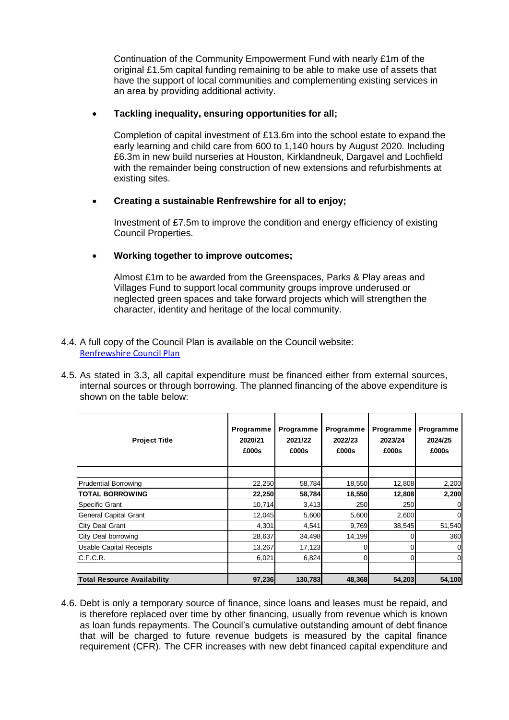Continuation of the Community Empowerment Fund with nearly £1m of the original £1.5m capital funding remaining to be able to make use of assets that have the support of local communities and complementing existing services in an area by providing additional activity.

#### • **Tackling inequality, ensuring opportunities for all;**

Completion of capital investment of £13.6m into the school estate to expand the early learning and child care from 600 to 1,140 hours by August 2020. Including £6.3m in new build nurseries at Houston, Kirklandneuk, Dargavel and Lochfield with the remainder being construction of new extensions and refurbishments at existing sites.

#### • **Creating a sustainable Renfrewshire for all to enjoy;**

Investment of £7.5m to improve the condition and energy efficiency of existing Council Properties.

#### • **Working together to improve outcomes;**

Almost £1m to be awarded from the Greenspaces, Parks & Play areas and Villages Fund to support local community groups improve underused or neglected green spaces and take forward projects which will strengthen the character, identity and heritage of the local community.

#### 4.4. A full copy of the Council Plan is available on the Council website: [Renfrewshire Council Plan](http://www.renfrewshire.gov.uk/article/6346/Council-Plan)

4.5. As stated in 3.3, all capital expenditure must be financed either from external sources, internal sources or through borrowing. The planned financing of the above expenditure is shown on the table below:

| <b>Project Title</b>               | Programme<br>2020/21<br>£000s | Programme<br>2021/22<br>£000s | Programme<br>2022/23<br>£000s | Programme<br>2023/24<br>£000s | Programme<br>2024/25<br>£000s |
|------------------------------------|-------------------------------|-------------------------------|-------------------------------|-------------------------------|-------------------------------|
|                                    |                               |                               |                               |                               |                               |
| <b>Prudential Borrowing</b>        | 22,250                        | 58,784                        | 18,550                        | 12,808                        | 2,200                         |
| <b>TOTAL BORROWING</b>             | 22,250                        | 58,784                        | 18,550                        | 12,808                        | 2,200                         |
| <b>Specific Grant</b>              | 10,714                        | 3,413                         | 250                           | 250                           | 0                             |
| General Capital Grant              | 12,045                        | 5,600                         | 5,600                         | 2,600                         | 0                             |
| City Deal Grant                    | 4,301                         | 4,541                         | 9,769                         | 38,545                        | 51,540                        |
| City Deal borrowing                | 28,637                        | 34,498                        | 14,199                        |                               | 360                           |
| <b>Usable Capital Receipts</b>     | 13,267                        | 17,123                        | 0                             |                               | $\mathbf 0$                   |
| C.F.C.R.                           | 6,021                         | 6,824                         |                               |                               | $\overline{0}$                |
|                                    |                               |                               |                               |                               |                               |
| <b>Total Resource Availability</b> | 97,236                        | 130,783                       | 48,368                        | 54,203                        | 54,100                        |

4.6. Debt is only a temporary source of finance, since loans and leases must be repaid, and is therefore replaced over time by other financing, usually from revenue which is known as loan funds repayments. The Council's cumulative outstanding amount of debt finance that will be charged to future revenue budgets is measured by the capital finance requirement (CFR). The CFR increases with new debt financed capital expenditure and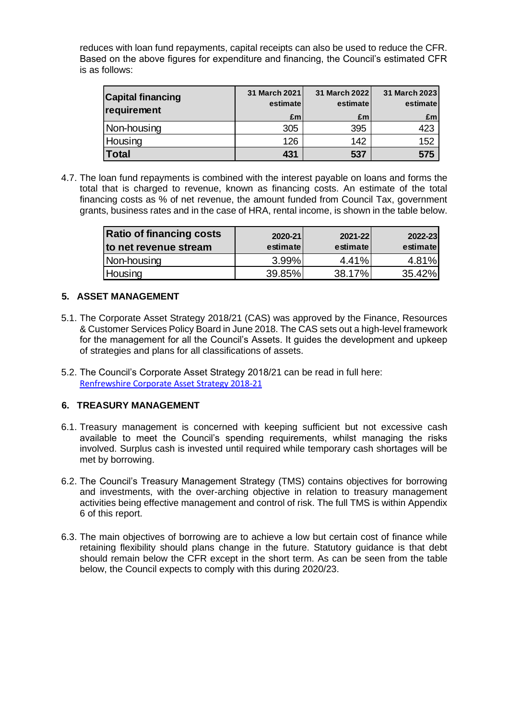reduces with loan fund repayments, capital receipts can also be used to reduce the CFR. Based on the above figures for expenditure and financing, the Council's estimated CFR is as follows:

| <b>Capital financing</b><br>requirement | 31 March 2021<br>estimate | 31 March 2022<br>estimate | 31 March 2023<br>estimate |
|-----------------------------------------|---------------------------|---------------------------|---------------------------|
|                                         | £m                        | £m                        | £m                        |
| Non-housing                             | 305                       | 395                       | 423                       |
| Housing                                 | 126                       | 142                       | 152                       |
| <b>Total</b>                            | 431                       | 537                       | 575                       |

4.7. The loan fund repayments is combined with the interest payable on loans and forms the total that is charged to revenue, known as financing costs. An estimate of the total financing costs as % of net revenue, the amount funded from Council Tax, government grants, business rates and in the case of HRA, rental income, is shown in the table below.

| <b>Ratio of financing costs</b><br>to net revenue stream | 2020-21<br>estimate | 2021-22<br>estimate | 2022-23<br>estimate |
|----------------------------------------------------------|---------------------|---------------------|---------------------|
| Non-housing                                              | 3.99%               | 4.41%               | 4.81%               |
| Housing                                                  | 39.85%              | 38.17%              | 35.42%              |

#### **5. ASSET MANAGEMENT**

- 5.1. The Corporate Asset Strategy 2018/21 (CAS) was approved by the Finance, Resources & Customer Services Policy Board in June 2018. The CAS sets out a high-level framework for the management for all the Council's Assets. It guides the development and upkeep of strategies and plans for all classifications of assets.
- 5.2. The Council's Corporate Asset Strategy 2018/21 can be read in full here: [Renfrewshire Corporate Asset Strategy 2018-21](http://renfrewshire.cmis.uk.com/renfrewshire/Meetings/tabid/70/ctl/ViewMeetingPublic/mid/397/Meeting/2241/Committee/159/Default.aspx)

#### **6. TREASURY MANAGEMENT**

- 6.1. Treasury management is concerned with keeping sufficient but not excessive cash available to meet the Council's spending requirements, whilst managing the risks involved. Surplus cash is invested until required while temporary cash shortages will be met by borrowing.
- 6.2. The Council's Treasury Management Strategy (TMS) contains objectives for borrowing and investments, with the over-arching objective in relation to treasury management activities being effective management and control of risk. The full TMS is within Appendix 6 of this report.
- 6.3. The main objectives of borrowing are to achieve a low but certain cost of finance while retaining flexibility should plans change in the future. Statutory guidance is that debt should remain below the CFR except in the short term. As can be seen from the table below, the Council expects to comply with this during 2020/23.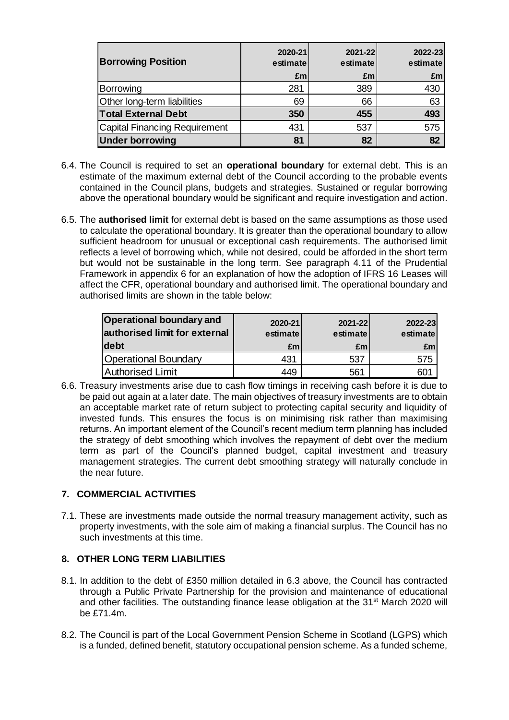| <b>Borrowing Position</b>            | 2020-21<br>estimate | 2021-22<br>estimate | 2022-23<br>estimate |
|--------------------------------------|---------------------|---------------------|---------------------|
|                                      | £m                  | £m                  | £ml                 |
| Borrowing                            | 281                 | 389                 | 430                 |
| Other long-term liabilities          | 69                  | 66                  | 63                  |
| <b>Total External Debt</b>           | 350                 | 455                 | 493                 |
| <b>Capital Financing Requirement</b> | 431                 | 537                 | 575                 |
| <b>Under borrowing</b>               | 81                  | 82                  | 82                  |

- 6.4. The Council is required to set an **operational boundary** for external debt. This is an estimate of the maximum external debt of the Council according to the probable events contained in the Council plans, budgets and strategies. Sustained or regular borrowing above the operational boundary would be significant and require investigation and action.
- 6.5. The **authorised limit** for external debt is based on the same assumptions as those used to calculate the operational boundary. It is greater than the operational boundary to allow sufficient headroom for unusual or exceptional cash requirements. The authorised limit reflects a level of borrowing which, while not desired, could be afforded in the short term but would not be sustainable in the long term. See paragraph 4.11 of the Prudential Framework in appendix 6 for an explanation of how the adoption of IFRS 16 Leases will affect the CFR, operational boundary and authorised limit. The operational boundary and authorised limits are shown in the table below:

| <b>Operational boundary and</b><br>authorised limit for external | 2020-21<br>estimate | 2021-22<br>estimate | 2022-23<br>estimate |
|------------------------------------------------------------------|---------------------|---------------------|---------------------|
| debt                                                             | £m                  | £m                  | £ml                 |
| Operational Boundary                                             | 431                 | 537                 | 575                 |
| Authorised Limit                                                 | 449                 | 561                 |                     |

6.6. Treasury investments arise due to cash flow timings in receiving cash before it is due to be paid out again at a later date. The main objectives of treasury investments are to obtain an acceptable market rate of return subject to protecting capital security and liquidity of invested funds. This ensures the focus is on minimising risk rather than maximising returns. An important element of the Council's recent medium term planning has included the strategy of debt smoothing which involves the repayment of debt over the medium term as part of the Council's planned budget, capital investment and treasury management strategies. The current debt smoothing strategy will naturally conclude in the near future.

### **7. COMMERCIAL ACTIVITIES**

7.1. These are investments made outside the normal treasury management activity, such as property investments, with the sole aim of making a financial surplus. The Council has no such investments at this time.

### **8. OTHER LONG TERM LIABILITIES**

- 8.1. In addition to the debt of £350 million detailed in 6.3 above, the Council has contracted through a Public Private Partnership for the provision and maintenance of educational and other facilities. The outstanding finance lease obligation at the 31<sup>st</sup> March 2020 will be £71.4m.
- 8.2. The Council is part of the Local Government Pension Scheme in Scotland (LGPS) which is a funded, defined benefit, statutory occupational pension scheme. As a funded scheme,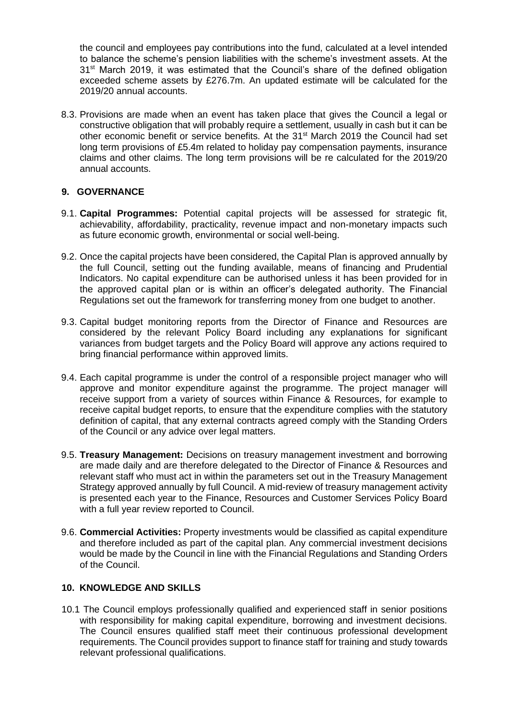the council and employees pay contributions into the fund, calculated at a level intended to balance the scheme's pension liabilities with the scheme's investment assets. At the  $31<sup>st</sup>$  March 2019, it was estimated that the Council's share of the defined obligation exceeded scheme assets by £276.7m. An updated estimate will be calculated for the 2019/20 annual accounts.

8.3. Provisions are made when an event has taken place that gives the Council a legal or constructive obligation that will probably require a settlement, usually in cash but it can be other economic benefit or service benefits. At the 31<sup>st</sup> March 2019 the Council had set long term provisions of £5.4m related to holiday pay compensation payments, insurance claims and other claims. The long term provisions will be re calculated for the 2019/20 annual accounts.

### **9. GOVERNANCE**

- 9.1. **Capital Programmes:** Potential capital projects will be assessed for strategic fit, achievability, affordability, practicality, revenue impact and non-monetary impacts such as future economic growth, environmental or social well-being.
- 9.2. Once the capital projects have been considered, the Capital Plan is approved annually by the full Council, setting out the funding available, means of financing and Prudential Indicators. No capital expenditure can be authorised unless it has been provided for in the approved capital plan or is within an officer's delegated authority. The Financial Regulations set out the framework for transferring money from one budget to another.
- 9.3. Capital budget monitoring reports from the Director of Finance and Resources are considered by the relevant Policy Board including any explanations for significant variances from budget targets and the Policy Board will approve any actions required to bring financial performance within approved limits.
- 9.4. Each capital programme is under the control of a responsible project manager who will approve and monitor expenditure against the programme. The project manager will receive support from a variety of sources within Finance & Resources, for example to receive capital budget reports, to ensure that the expenditure complies with the statutory definition of capital, that any external contracts agreed comply with the Standing Orders of the Council or any advice over legal matters.
- 9.5. **Treasury Management:** Decisions on treasury management investment and borrowing are made daily and are therefore delegated to the Director of Finance & Resources and relevant staff who must act in within the parameters set out in the Treasury Management Strategy approved annually by full Council. A mid-review of treasury management activity is presented each year to the Finance, Resources and Customer Services Policy Board with a full year review reported to Council.
- 9.6. **Commercial Activities:** Property investments would be classified as capital expenditure and therefore included as part of the capital plan. Any commercial investment decisions would be made by the Council in line with the Financial Regulations and Standing Orders of the Council.

#### **10. KNOWLEDGE AND SKILLS**

10.1 The Council employs professionally qualified and experienced staff in senior positions with responsibility for making capital expenditure, borrowing and investment decisions. The Council ensures qualified staff meet their continuous professional development requirements. The Council provides support to finance staff for training and study towards relevant professional qualifications.